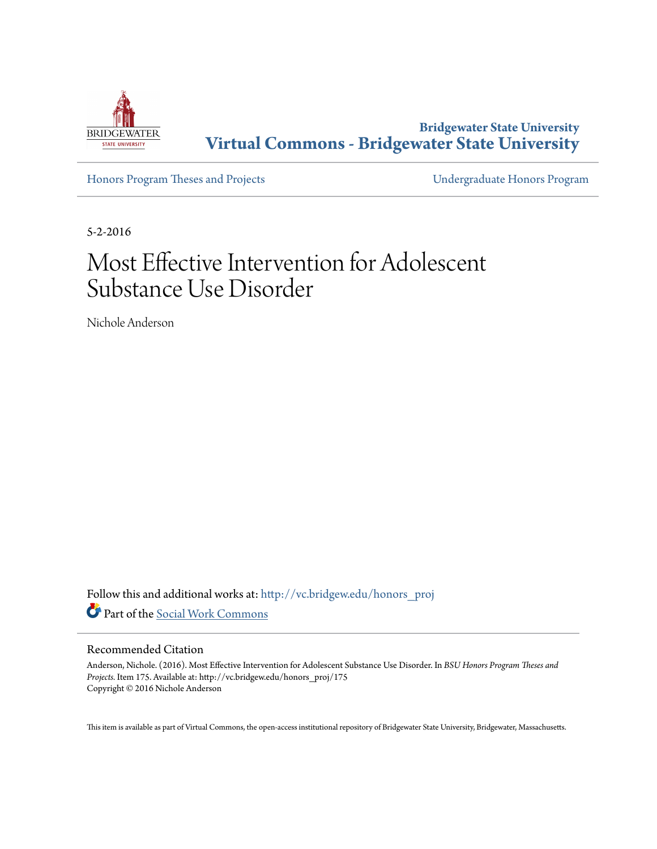

**Bridgewater State University [Virtual Commons - Bridgewater State University](http://vc.bridgew.edu?utm_source=vc.bridgew.edu%2Fhonors_proj%2F175&utm_medium=PDF&utm_campaign=PDFCoverPages)**

[Honors Program Theses and Projects](http://vc.bridgew.edu/honors_proj?utm_source=vc.bridgew.edu%2Fhonors_proj%2F175&utm_medium=PDF&utm_campaign=PDFCoverPages) [Undergraduate Honors Program](http://vc.bridgew.edu/honors?utm_source=vc.bridgew.edu%2Fhonors_proj%2F175&utm_medium=PDF&utm_campaign=PDFCoverPages)

5-2-2016

# Most Effective Intervention for Adolescent Substance Use Disorder

Nichole Anderson

Follow this and additional works at: [http://vc.bridgew.edu/honors\\_proj](http://vc.bridgew.edu/honors_proj?utm_source=vc.bridgew.edu%2Fhonors_proj%2F175&utm_medium=PDF&utm_campaign=PDFCoverPages) Part of the [Social Work Commons](http://network.bepress.com/hgg/discipline/713?utm_source=vc.bridgew.edu%2Fhonors_proj%2F175&utm_medium=PDF&utm_campaign=PDFCoverPages)

#### Recommended Citation

Anderson, Nichole. (2016). Most Effective Intervention for Adolescent Substance Use Disorder. In *BSU Honors Program Theses and Projects.* Item 175. Available at: http://vc.bridgew.edu/honors\_proj/175 Copyright © 2016 Nichole Anderson

This item is available as part of Virtual Commons, the open-access institutional repository of Bridgewater State University, Bridgewater, Massachusetts.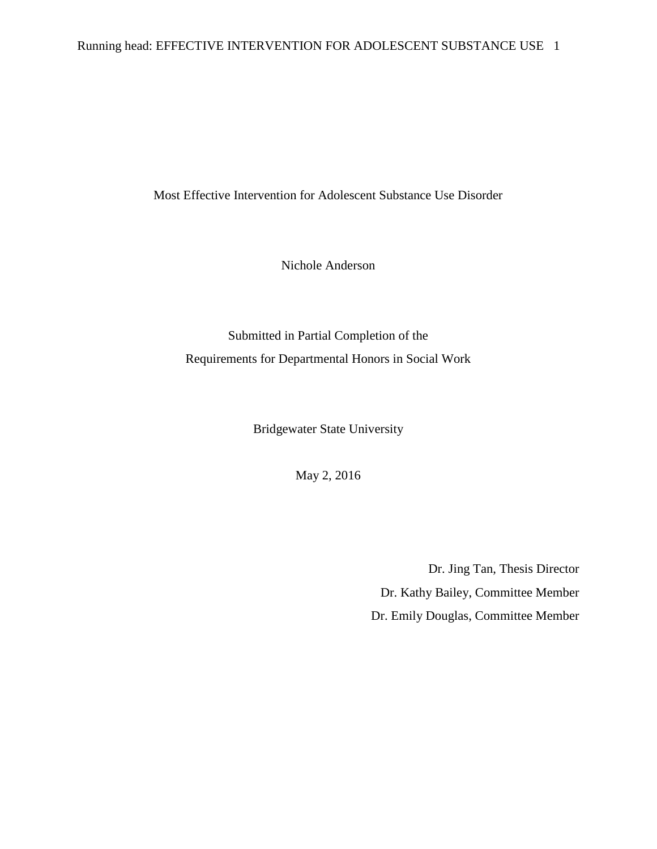# Running head: EFFECTIVE INTERVENTION FOR ADOLESCENT SUBSTANCE USE 1

Most Effective Intervention for Adolescent Substance Use Disorder

Nichole Anderson

Submitted in Partial Completion of the Requirements for Departmental Honors in Social Work

Bridgewater State University

May 2, 2016

Dr. Jing Tan, Thesis Director Dr. Kathy Bailey, Committee Member Dr. Emily Douglas, Committee Member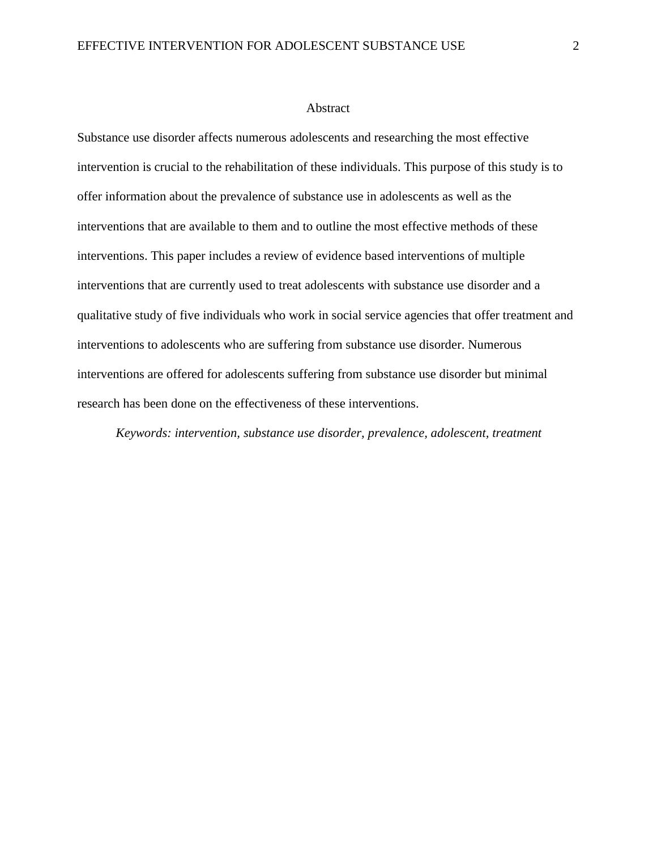#### Abstract

Substance use disorder affects numerous adolescents and researching the most effective intervention is crucial to the rehabilitation of these individuals. This purpose of this study is to offer information about the prevalence of substance use in adolescents as well as the interventions that are available to them and to outline the most effective methods of these interventions. This paper includes a review of evidence based interventions of multiple interventions that are currently used to treat adolescents with substance use disorder and a qualitative study of five individuals who work in social service agencies that offer treatment and interventions to adolescents who are suffering from substance use disorder. Numerous interventions are offered for adolescents suffering from substance use disorder but minimal research has been done on the effectiveness of these interventions.

*Keywords: intervention, substance use disorder, prevalence, adolescent, treatment*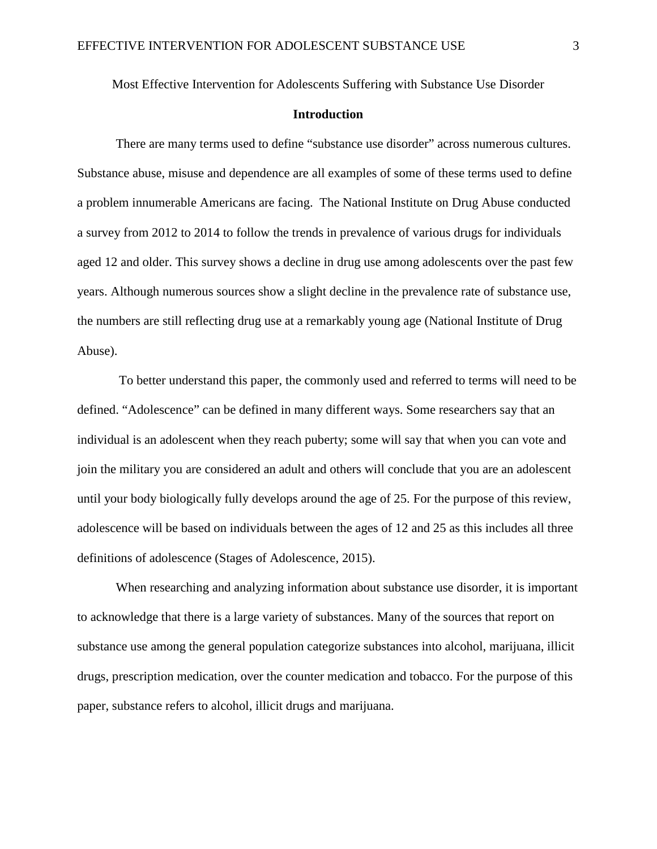Most Effective Intervention for Adolescents Suffering with Substance Use Disorder

# **Introduction**

There are many terms used to define "substance use disorder" across numerous cultures. Substance abuse, misuse and dependence are all examples of some of these terms used to define a problem innumerable Americans are facing. The National Institute on Drug Abuse conducted a survey from 2012 to 2014 to follow the trends in prevalence of various drugs for individuals aged 12 and older. This survey shows a decline in drug use among adolescents over the past few years. Although numerous sources show a slight decline in the prevalence rate of substance use, the numbers are still reflecting drug use at a remarkably young age (National Institute of Drug Abuse).

To better understand this paper, the commonly used and referred to terms will need to be defined. "Adolescence" can be defined in many different ways. Some researchers say that an individual is an adolescent when they reach puberty; some will say that when you can vote and join the military you are considered an adult and others will conclude that you are an adolescent until your body biologically fully develops around the age of 25. For the purpose of this review, adolescence will be based on individuals between the ages of 12 and 25 as this includes all three definitions of adolescence (Stages of Adolescence, 2015).

When researching and analyzing information about substance use disorder, it is important to acknowledge that there is a large variety of substances. Many of the sources that report on substance use among the general population categorize substances into alcohol, marijuana, illicit drugs, prescription medication, over the counter medication and tobacco. For the purpose of this paper, substance refers to alcohol, illicit drugs and marijuana.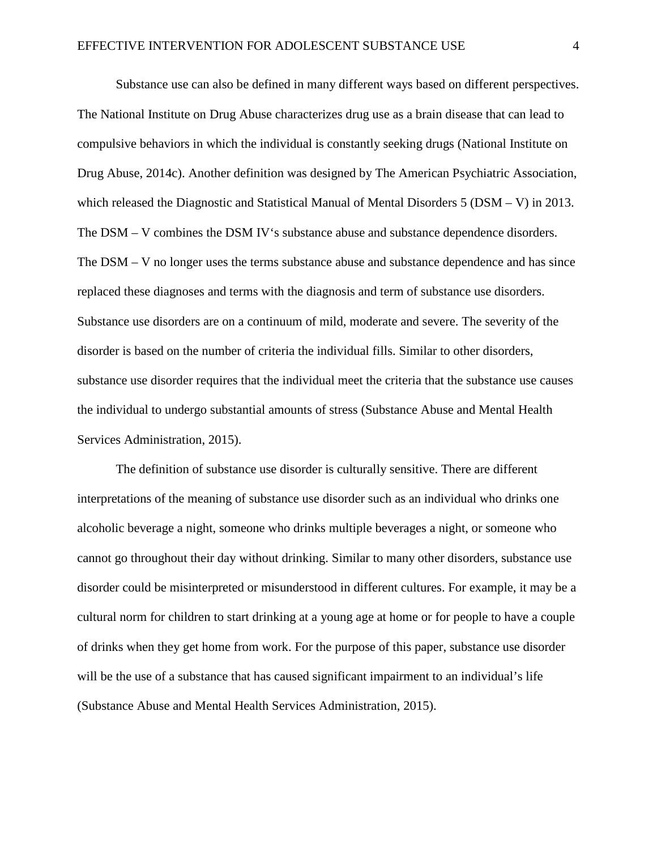Substance use can also be defined in many different ways based on different perspectives. The National Institute on Drug Abuse characterizes drug use as a brain disease that can lead to compulsive behaviors in which the individual is constantly seeking drugs (National Institute on Drug Abuse, 2014c). Another definition was designed by The American Psychiatric Association, which released the Diagnostic and Statistical Manual of Mental Disorders 5 (DSM – V) in 2013. The DSM – V combines the DSM IV's substance abuse and substance dependence disorders. The DSM – V no longer uses the terms substance abuse and substance dependence and has since replaced these diagnoses and terms with the diagnosis and term of substance use disorders. Substance use disorders are on a continuum of mild, moderate and severe. The severity of the disorder is based on the number of criteria the individual fills. Similar to other disorders, substance use disorder requires that the individual meet the criteria that the substance use causes the individual to undergo substantial amounts of stress (Substance Abuse and Mental Health Services Administration, 2015).

The definition of substance use disorder is culturally sensitive. There are different interpretations of the meaning of substance use disorder such as an individual who drinks one alcoholic beverage a night, someone who drinks multiple beverages a night, or someone who cannot go throughout their day without drinking. Similar to many other disorders, substance use disorder could be misinterpreted or misunderstood in different cultures. For example, it may be a cultural norm for children to start drinking at a young age at home or for people to have a couple of drinks when they get home from work. For the purpose of this paper, substance use disorder will be the use of a substance that has caused significant impairment to an individual's life (Substance Abuse and Mental Health Services Administration, 2015).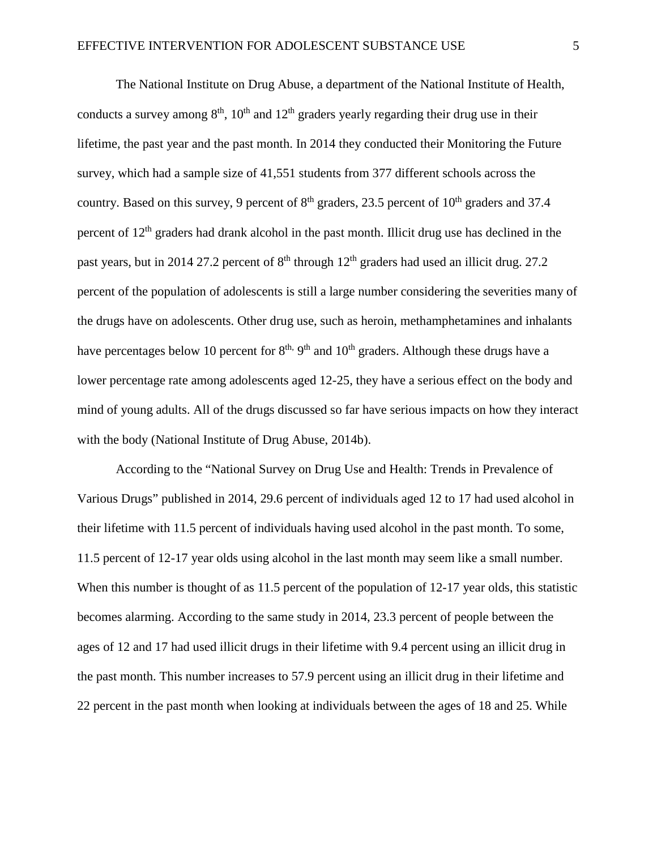The National Institute on Drug Abuse, a department of the National Institute of Health, conducts a survey among  $8<sup>th</sup>$ ,  $10<sup>th</sup>$  and  $12<sup>th</sup>$  graders yearly regarding their drug use in their lifetime, the past year and the past month. In 2014 they conducted their Monitoring the Future survey, which had a sample size of 41,551 students from 377 different schools across the country. Based on this survey, 9 percent of  $8<sup>th</sup>$  graders, 23.5 percent of  $10<sup>th</sup>$  graders and 37.4 percent of  $12<sup>th</sup>$  graders had drank alcohol in the past month. Illicit drug use has declined in the past years, but in 2014 27.2 percent of  $8<sup>th</sup>$  through  $12<sup>th</sup>$  graders had used an illicit drug. 27.2 percent of the population of adolescents is still a large number considering the severities many of the drugs have on adolescents. Other drug use, such as heroin, methamphetamines and inhalants have percentages below 10 percent for  $8<sup>th</sup>$ ,  $9<sup>th</sup>$  and  $10<sup>th</sup>$  graders. Although these drugs have a lower percentage rate among adolescents aged 12-25, they have a serious effect on the body and mind of young adults. All of the drugs discussed so far have serious impacts on how they interact with the body (National Institute of Drug Abuse, 2014b).

According to the "National Survey on Drug Use and Health: Trends in Prevalence of Various Drugs" published in 2014, 29.6 percent of individuals aged 12 to 17 had used alcohol in their lifetime with 11.5 percent of individuals having used alcohol in the past month. To some, 11.5 percent of 12-17 year olds using alcohol in the last month may seem like a small number. When this number is thought of as 11.5 percent of the population of 12-17 year olds, this statistic becomes alarming. According to the same study in 2014, 23.3 percent of people between the ages of 12 and 17 had used illicit drugs in their lifetime with 9.4 percent using an illicit drug in the past month. This number increases to 57.9 percent using an illicit drug in their lifetime and 22 percent in the past month when looking at individuals between the ages of 18 and 25. While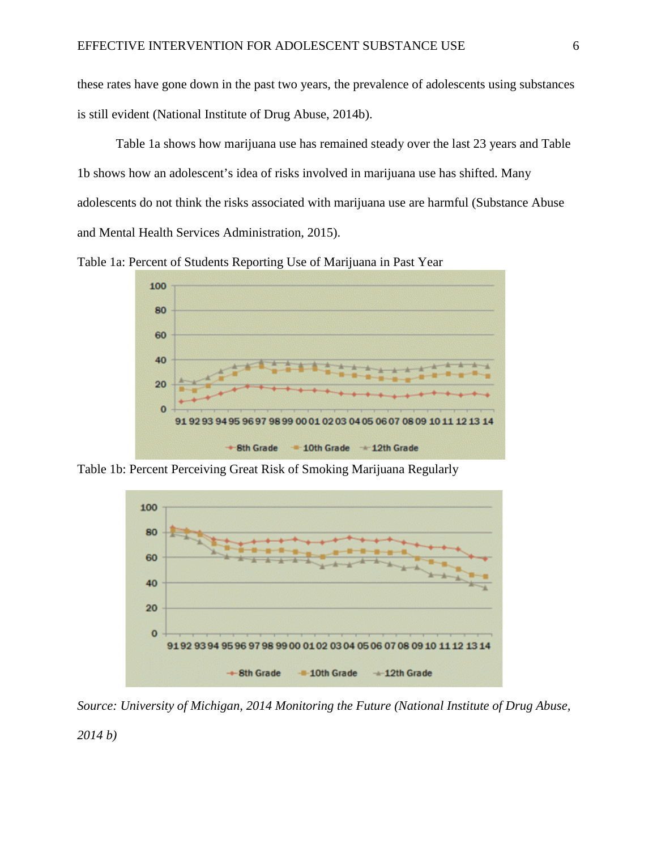these rates have gone down in the past two years, the prevalence of adolescents using substances is still evident (National Institute of Drug Abuse, 2014b).

Table 1a shows how marijuana use has remained steady over the last 23 years and Table 1b shows how an adolescent's idea of risks involved in marijuana use has shifted. Many adolescents do not think the risks associated with marijuana use are harmful (Substance Abuse and Mental Health Services Administration, 2015).

Table 1a: Percent of Students Reporting Use of Marijuana in Past Year



Table 1b: Percent Perceiving Great Risk of Smoking Marijuana Regularly



*Source: University of Michigan, 2014 Monitoring the Future (National Institute of Drug Abuse,*

*2014 b)*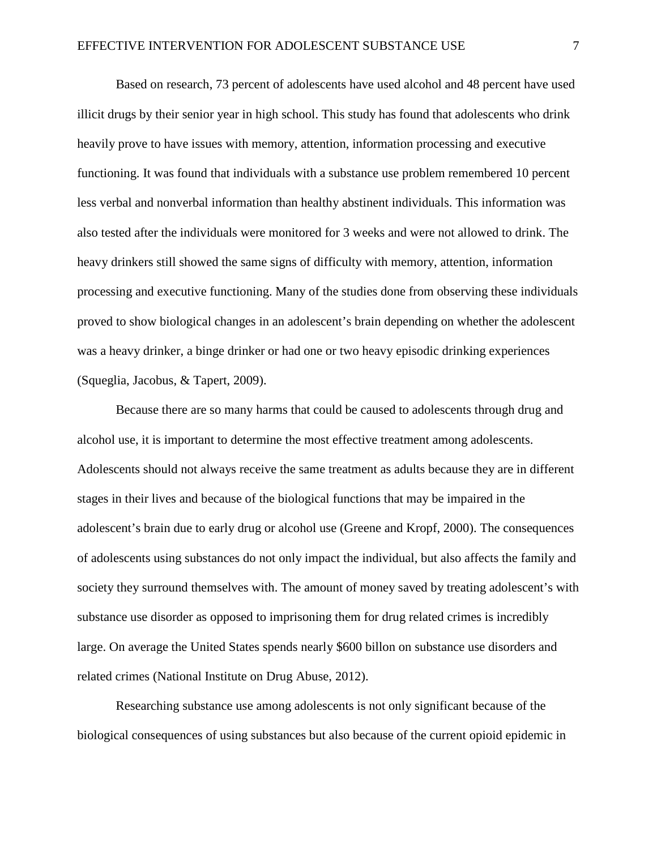Based on research, 73 percent of adolescents have used alcohol and 48 percent have used illicit drugs by their senior year in high school. This study has found that adolescents who drink heavily prove to have issues with memory, attention, information processing and executive functioning. It was found that individuals with a substance use problem remembered 10 percent less verbal and nonverbal information than healthy abstinent individuals. This information was also tested after the individuals were monitored for 3 weeks and were not allowed to drink. The heavy drinkers still showed the same signs of difficulty with memory, attention, information processing and executive functioning. Many of the studies done from observing these individuals proved to show biological changes in an adolescent's brain depending on whether the adolescent was a heavy drinker, a binge drinker or had one or two heavy episodic drinking experiences (Squeglia, Jacobus, & Tapert, 2009).

Because there are so many harms that could be caused to adolescents through drug and alcohol use, it is important to determine the most effective treatment among adolescents. Adolescents should not always receive the same treatment as adults because they are in different stages in their lives and because of the biological functions that may be impaired in the adolescent's brain due to early drug or alcohol use (Greene and Kropf, 2000). The consequences of adolescents using substances do not only impact the individual, but also affects the family and society they surround themselves with. The amount of money saved by treating adolescent's with substance use disorder as opposed to imprisoning them for drug related crimes is incredibly large. On average the United States spends nearly \$600 billon on substance use disorders and related crimes (National Institute on Drug Abuse, 2012).

Researching substance use among adolescents is not only significant because of the biological consequences of using substances but also because of the current opioid epidemic in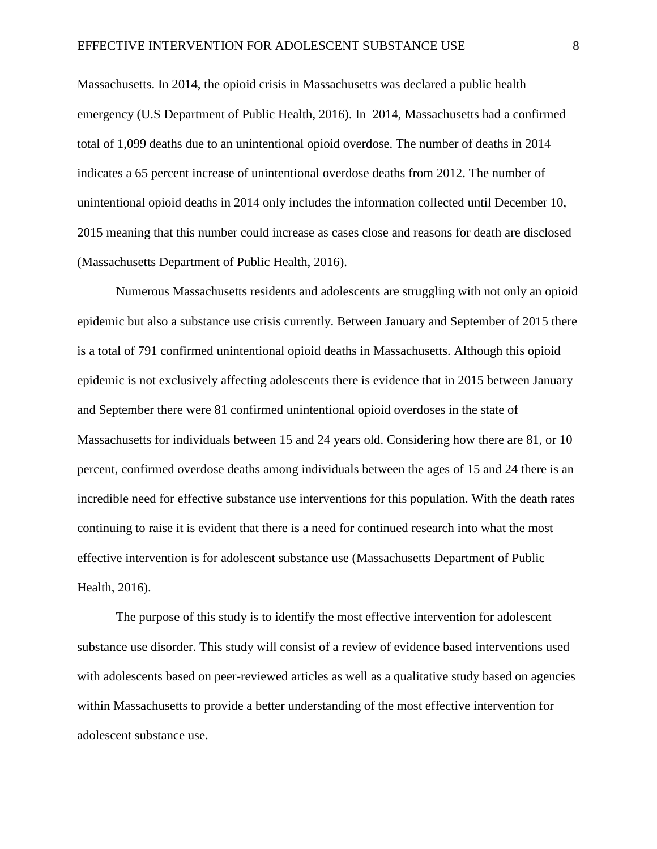Massachusetts. In 2014, the opioid crisis in Massachusetts was declared a public health emergency (U.S Department of Public Health, 2016). In 2014, Massachusetts had a confirmed total of 1,099 deaths due to an unintentional opioid overdose. The number of deaths in 2014 indicates a 65 percent increase of unintentional overdose deaths from 2012. The number of unintentional opioid deaths in 2014 only includes the information collected until December 10, 2015 meaning that this number could increase as cases close and reasons for death are disclosed (Massachusetts Department of Public Health, 2016).

Numerous Massachusetts residents and adolescents are struggling with not only an opioid epidemic but also a substance use crisis currently. Between January and September of 2015 there is a total of 791 confirmed unintentional opioid deaths in Massachusetts. Although this opioid epidemic is not exclusively affecting adolescents there is evidence that in 2015 between January and September there were 81 confirmed unintentional opioid overdoses in the state of Massachusetts for individuals between 15 and 24 years old. Considering how there are 81, or 10 percent, confirmed overdose deaths among individuals between the ages of 15 and 24 there is an incredible need for effective substance use interventions for this population. With the death rates continuing to raise it is evident that there is a need for continued research into what the most effective intervention is for adolescent substance use (Massachusetts Department of Public Health, 2016).

The purpose of this study is to identify the most effective intervention for adolescent substance use disorder. This study will consist of a review of evidence based interventions used with adolescents based on peer-reviewed articles as well as a qualitative study based on agencies within Massachusetts to provide a better understanding of the most effective intervention for adolescent substance use.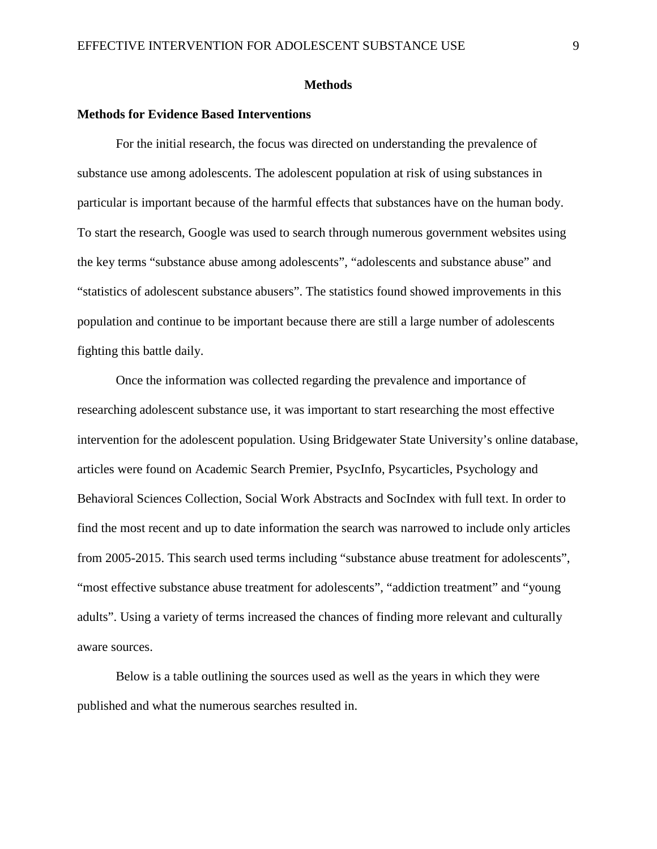#### **Methods**

# **Methods for Evidence Based Interventions**

For the initial research, the focus was directed on understanding the prevalence of substance use among adolescents. The adolescent population at risk of using substances in particular is important because of the harmful effects that substances have on the human body. To start the research, Google was used to search through numerous government websites using the key terms "substance abuse among adolescents", "adolescents and substance abuse" and "statistics of adolescent substance abusers". The statistics found showed improvements in this population and continue to be important because there are still a large number of adolescents fighting this battle daily.

Once the information was collected regarding the prevalence and importance of researching adolescent substance use, it was important to start researching the most effective intervention for the adolescent population. Using Bridgewater State University's online database, articles were found on Academic Search Premier, PsycInfo, Psycarticles, Psychology and Behavioral Sciences Collection, Social Work Abstracts and SocIndex with full text. In order to find the most recent and up to date information the search was narrowed to include only articles from 2005-2015. This search used terms including "substance abuse treatment for adolescents", "most effective substance abuse treatment for adolescents", "addiction treatment" and "young adults". Using a variety of terms increased the chances of finding more relevant and culturally aware sources.

Below is a table outlining the sources used as well as the years in which they were published and what the numerous searches resulted in.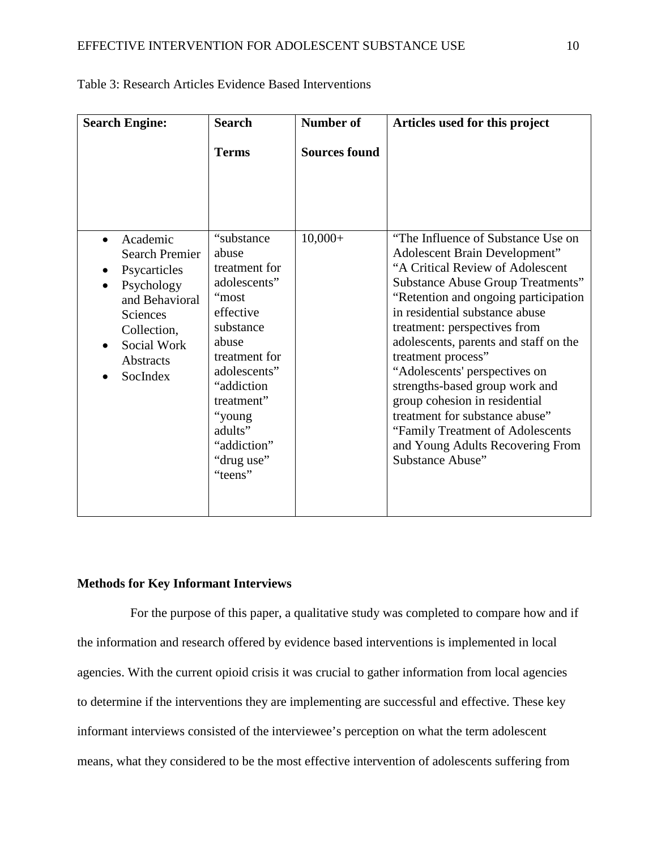| <b>Search Engine:</b>                                                                                                                                              | <b>Search</b>                                                                                                                                                                                                                | <b>Number of</b>     | Articles used for this project                                                                                                                                                                                                                                                                                                                                                                                                                                                                                                                                          |  |  |
|--------------------------------------------------------------------------------------------------------------------------------------------------------------------|------------------------------------------------------------------------------------------------------------------------------------------------------------------------------------------------------------------------------|----------------------|-------------------------------------------------------------------------------------------------------------------------------------------------------------------------------------------------------------------------------------------------------------------------------------------------------------------------------------------------------------------------------------------------------------------------------------------------------------------------------------------------------------------------------------------------------------------------|--|--|
|                                                                                                                                                                    | <b>Terms</b>                                                                                                                                                                                                                 | <b>Sources found</b> |                                                                                                                                                                                                                                                                                                                                                                                                                                                                                                                                                                         |  |  |
| Academic<br><b>Search Premier</b><br>Psycarticles<br>Psychology<br>and Behavioral<br><b>Sciences</b><br>Collection,<br>Social Work<br><b>Abstracts</b><br>SocIndex | "substance"<br>abuse<br>treatment for<br>adolescents"<br>"most<br>effective<br>substance<br>abuse<br>treatment for<br>adolescents"<br>"addiction"<br>treatment"<br>"young<br>adults"<br>"addiction"<br>"drug use"<br>"teens" | $10,000+$            | "The Influence of Substance Use on<br>Adolescent Brain Development"<br>"A Critical Review of Adolescent<br><b>Substance Abuse Group Treatments"</b><br>"Retention and ongoing participation"<br>in residential substance abuse<br>treatment: perspectives from<br>adolescents, parents and staff on the<br>treatment process"<br>"Adolescents' perspectives on<br>strengths-based group work and<br>group cohesion in residential<br>treatment for substance abuse"<br>"Family Treatment of Adolescents"<br>and Young Adults Recovering From<br><b>Substance Abuse"</b> |  |  |

Table 3: Research Articles Evidence Based Interventions

# **Methods for Key Informant Interviews**

For the purpose of this paper, a qualitative study was completed to compare how and if the information and research offered by evidence based interventions is implemented in local agencies. With the current opioid crisis it was crucial to gather information from local agencies to determine if the interventions they are implementing are successful and effective. These key informant interviews consisted of the interviewee's perception on what the term adolescent means, what they considered to be the most effective intervention of adolescents suffering from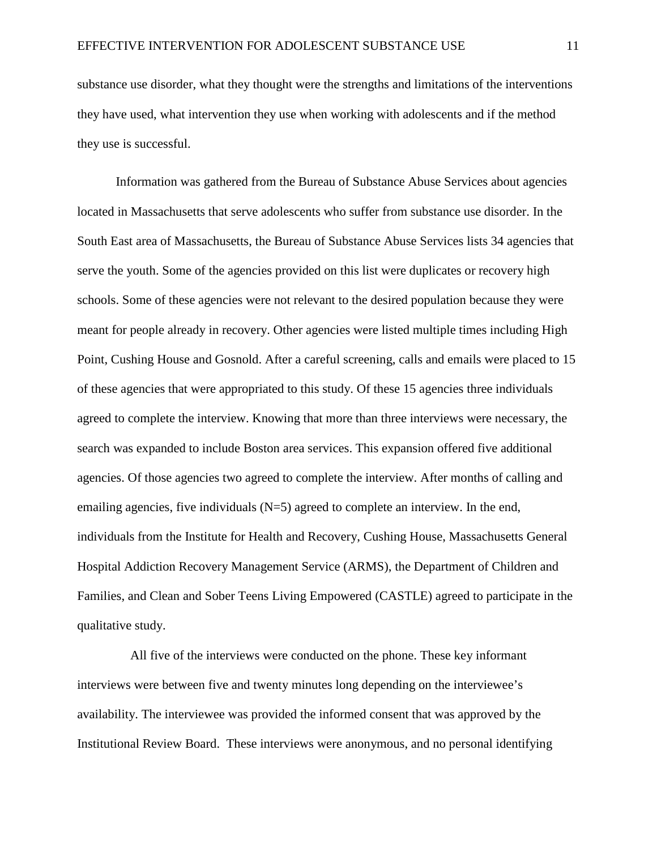substance use disorder, what they thought were the strengths and limitations of the interventions they have used, what intervention they use when working with adolescents and if the method they use is successful.

Information was gathered from the Bureau of Substance Abuse Services about agencies located in Massachusetts that serve adolescents who suffer from substance use disorder. In the South East area of Massachusetts, the Bureau of Substance Abuse Services lists 34 agencies that serve the youth. Some of the agencies provided on this list were duplicates or recovery high schools. Some of these agencies were not relevant to the desired population because they were meant for people already in recovery. Other agencies were listed multiple times including High Point, Cushing House and Gosnold. After a careful screening, calls and emails were placed to 15 of these agencies that were appropriated to this study. Of these 15 agencies three individuals agreed to complete the interview. Knowing that more than three interviews were necessary, the search was expanded to include Boston area services. This expansion offered five additional agencies. Of those agencies two agreed to complete the interview. After months of calling and emailing agencies, five individuals  $(N=5)$  agreed to complete an interview. In the end, individuals from the Institute for Health and Recovery, Cushing House, Massachusetts General Hospital Addiction Recovery Management Service (ARMS), the Department of Children and Families, and Clean and Sober Teens Living Empowered (CASTLE) agreed to participate in the qualitative study.

All five of the interviews were conducted on the phone. These key informant interviews were between five and twenty minutes long depending on the interviewee's availability. The interviewee was provided the informed consent that was approved by the Institutional Review Board. These interviews were anonymous, and no personal identifying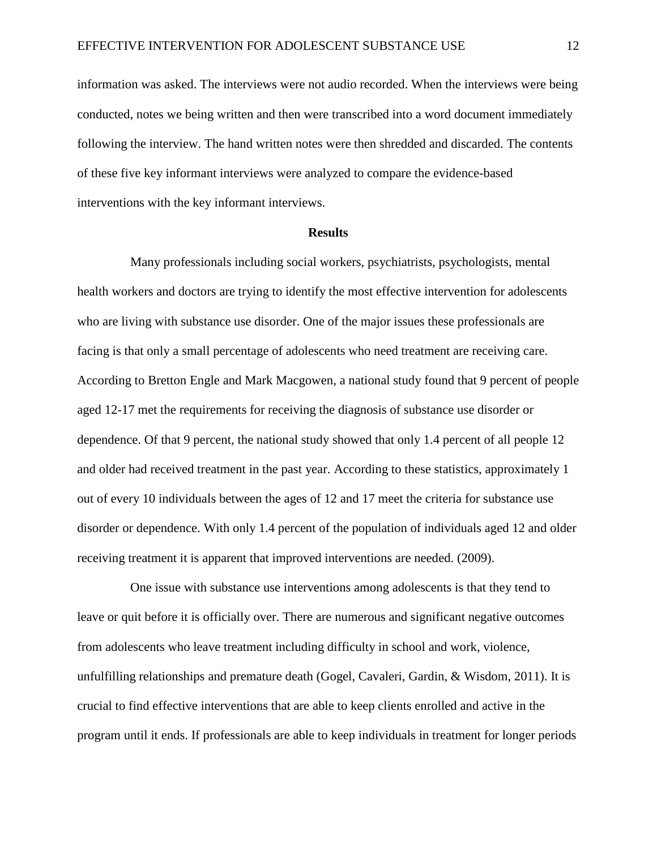information was asked. The interviews were not audio recorded. When the interviews were being conducted, notes we being written and then were transcribed into a word document immediately following the interview. The hand written notes were then shredded and discarded. The contents of these five key informant interviews were analyzed to compare the evidence-based interventions with the key informant interviews.

#### **Results**

Many professionals including social workers, psychiatrists, psychologists, mental health workers and doctors are trying to identify the most effective intervention for adolescents who are living with substance use disorder. One of the major issues these professionals are facing is that only a small percentage of adolescents who need treatment are receiving care. According to Bretton Engle and Mark Macgowen, a national study found that 9 percent of people aged 12-17 met the requirements for receiving the diagnosis of substance use disorder or dependence. Of that 9 percent, the national study showed that only 1.4 percent of all people 12 and older had received treatment in the past year. According to these statistics, approximately 1 out of every 10 individuals between the ages of 12 and 17 meet the criteria for substance use disorder or dependence. With only 1.4 percent of the population of individuals aged 12 and older receiving treatment it is apparent that improved interventions are needed. (2009).

One issue with substance use interventions among adolescents is that they tend to leave or quit before it is officially over. There are numerous and significant negative outcomes from adolescents who leave treatment including difficulty in school and work, violence, unfulfilling relationships and premature death (Gogel, Cavaleri, Gardin, & Wisdom, 2011). It is crucial to find effective interventions that are able to keep clients enrolled and active in the program until it ends. If professionals are able to keep individuals in treatment for longer periods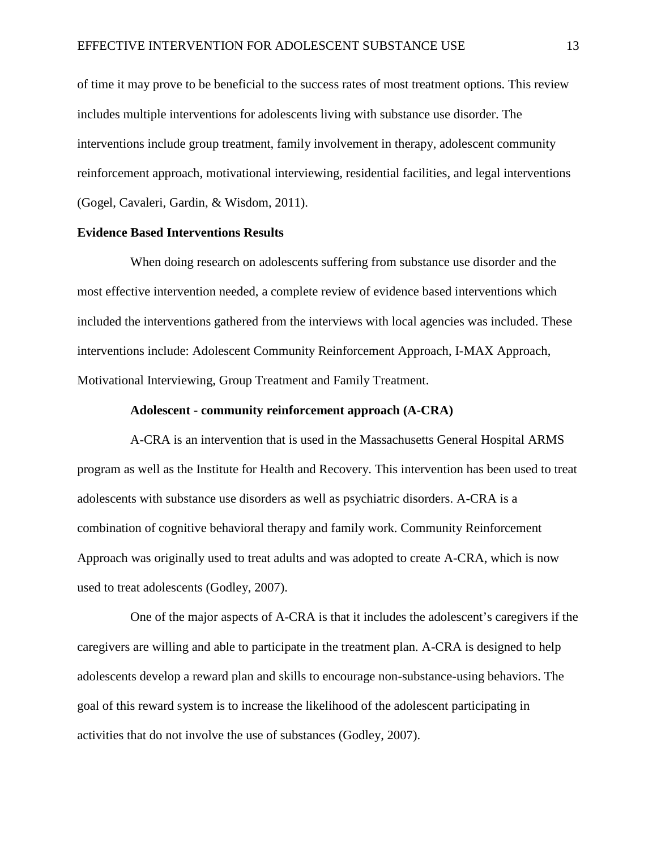of time it may prove to be beneficial to the success rates of most treatment options. This review includes multiple interventions for adolescents living with substance use disorder. The interventions include group treatment, family involvement in therapy, adolescent community reinforcement approach, motivational interviewing, residential facilities, and legal interventions (Gogel, Cavaleri, Gardin, & Wisdom, 2011).

# **Evidence Based Interventions Results**

When doing research on adolescents suffering from substance use disorder and the most effective intervention needed, a complete review of evidence based interventions which included the interventions gathered from the interviews with local agencies was included. These interventions include: Adolescent Community Reinforcement Approach, I-MAX Approach, Motivational Interviewing, Group Treatment and Family Treatment.

# **Adolescent - community reinforcement approach (A-CRA)**

A-CRA is an intervention that is used in the Massachusetts General Hospital ARMS program as well as the Institute for Health and Recovery. This intervention has been used to treat adolescents with substance use disorders as well as psychiatric disorders. A-CRA is a combination of cognitive behavioral therapy and family work. Community Reinforcement Approach was originally used to treat adults and was adopted to create A-CRA, which is now used to treat adolescents (Godley, 2007).

One of the major aspects of A-CRA is that it includes the adolescent's caregivers if the caregivers are willing and able to participate in the treatment plan. A-CRA is designed to help adolescents develop a reward plan and skills to encourage non-substance-using behaviors. The goal of this reward system is to increase the likelihood of the adolescent participating in activities that do not involve the use of substances (Godley, 2007).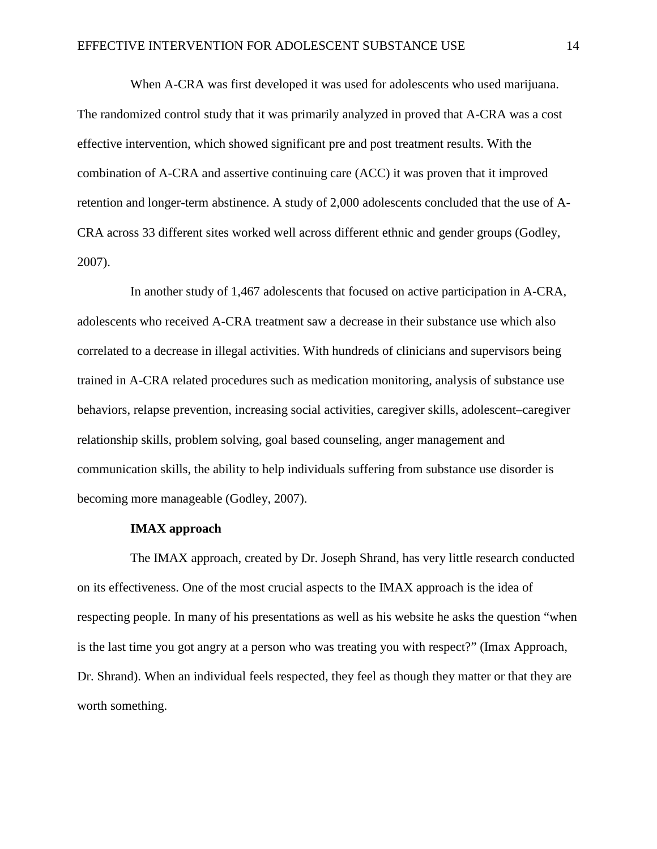When A-CRA was first developed it was used for adolescents who used marijuana. The randomized control study that it was primarily analyzed in proved that A-CRA was a cost effective intervention, which showed significant pre and post treatment results. With the combination of A-CRA and assertive continuing care (ACC) it was proven that it improved retention and longer-term abstinence. A study of 2,000 adolescents concluded that the use of A-CRA across 33 different sites worked well across different ethnic and gender groups (Godley, 2007).

In another study of 1,467 adolescents that focused on active participation in A-CRA, adolescents who received A-CRA treatment saw a decrease in their substance use which also correlated to a decrease in illegal activities. With hundreds of clinicians and supervisors being trained in A-CRA related procedures such as medication monitoring, analysis of substance use behaviors, relapse prevention, increasing social activities, caregiver skills, adolescent–caregiver relationship skills, problem solving, goal based counseling, anger management and communication skills, the ability to help individuals suffering from substance use disorder is becoming more manageable (Godley, 2007).

# **IMAX approach**

The IMAX approach, created by Dr. Joseph Shrand, has very little research conducted on its effectiveness. One of the most crucial aspects to the IMAX approach is the idea of respecting people. In many of his presentations as well as his website he asks the question "when is the last time you got angry at a person who was treating you with respect?" (Imax Approach, Dr. Shrand). When an individual feels respected, they feel as though they matter or that they are worth something.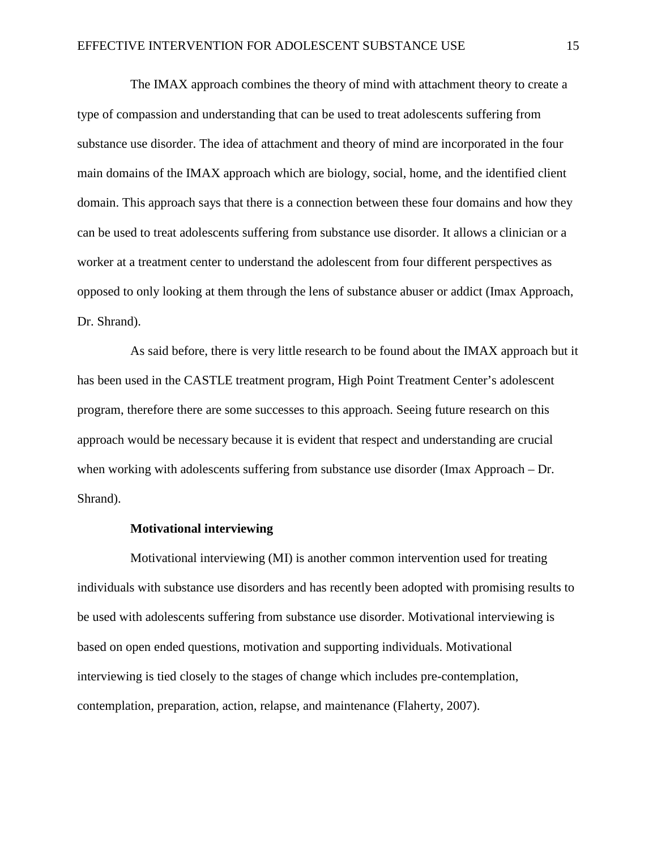The IMAX approach combines the theory of mind with attachment theory to create a type of compassion and understanding that can be used to treat adolescents suffering from substance use disorder. The idea of attachment and theory of mind are incorporated in the four main domains of the IMAX approach which are biology, social, home, and the identified client domain. This approach says that there is a connection between these four domains and how they can be used to treat adolescents suffering from substance use disorder. It allows a clinician or a worker at a treatment center to understand the adolescent from four different perspectives as opposed to only looking at them through the lens of substance abuser or addict (Imax Approach, Dr. Shrand).

As said before, there is very little research to be found about the IMAX approach but it has been used in the CASTLE treatment program, High Point Treatment Center's adolescent program, therefore there are some successes to this approach. Seeing future research on this approach would be necessary because it is evident that respect and understanding are crucial when working with adolescents suffering from substance use disorder (Imax Approach – Dr. Shrand).

#### **Motivational interviewing**

Motivational interviewing (MI) is another common intervention used for treating individuals with substance use disorders and has recently been adopted with promising results to be used with adolescents suffering from substance use disorder. Motivational interviewing is based on open ended questions, motivation and supporting individuals. Motivational interviewing is tied closely to the stages of change which includes pre-contemplation, contemplation, preparation, action, relapse, and maintenance (Flaherty, 2007).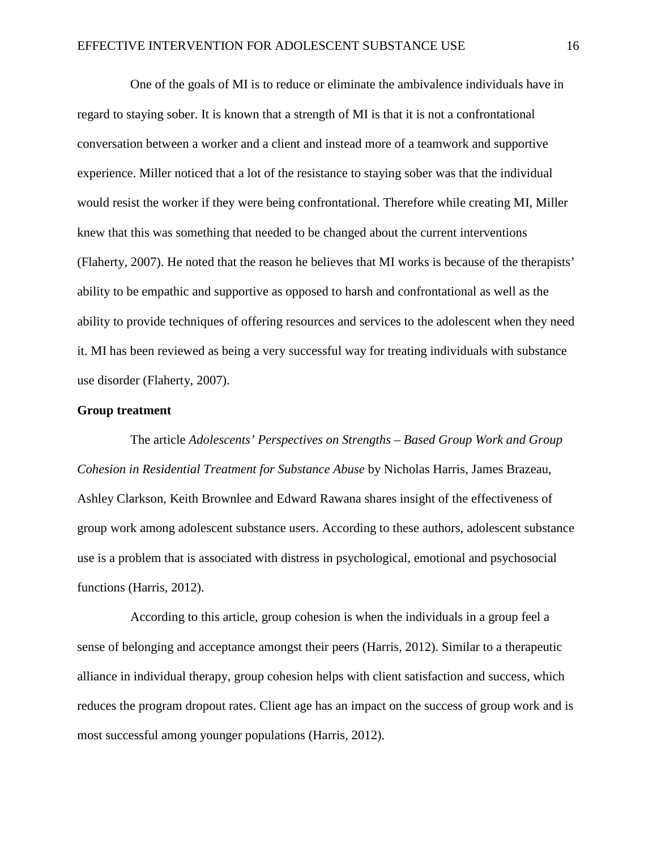One of the goals of MI is to reduce or eliminate the ambivalence individuals have in regard to staying sober. It is known that a strength of MI is that it is not a confrontational conversation between a worker and a client and instead more of a teamwork and supportive experience. Miller noticed that a lot of the resistance to staying sober was that the individual would resist the worker if they were being confrontational. Therefore while creating MI, Miller knew that this was something that needed to be changed about the current interventions (Flaherty, 2007). He noted that the reason he believes that MI works is because of the therapists' ability to be empathic and supportive as opposed to harsh and confrontational as well as the ability to provide techniques of offering resources and services to the adolescent when they need it. MI has been reviewed as being a very successful way for treating individuals with substance use disorder (Flaherty, 2007).

# **Group treatment**

The article *Adolescents' Perspectives on Strengths – Based Group Work and Group Cohesion in Residential Treatment for Substance Abuse* by Nicholas Harris, James Brazeau, Ashley Clarkson, Keith Brownlee and Edward Rawana shares insight of the effectiveness of group work among adolescent substance users. According to these authors, adolescent substance use is a problem that is associated with distress in psychological, emotional and psychosocial functions (Harris, 2012).

According to this article, group cohesion is when the individuals in a group feel a sense of belonging and acceptance amongst their peers (Harris, 2012). Similar to a therapeutic alliance in individual therapy, group cohesion helps with client satisfaction and success, which reduces the program dropout rates. Client age has an impact on the success of group work and is most successful among younger populations (Harris, 2012).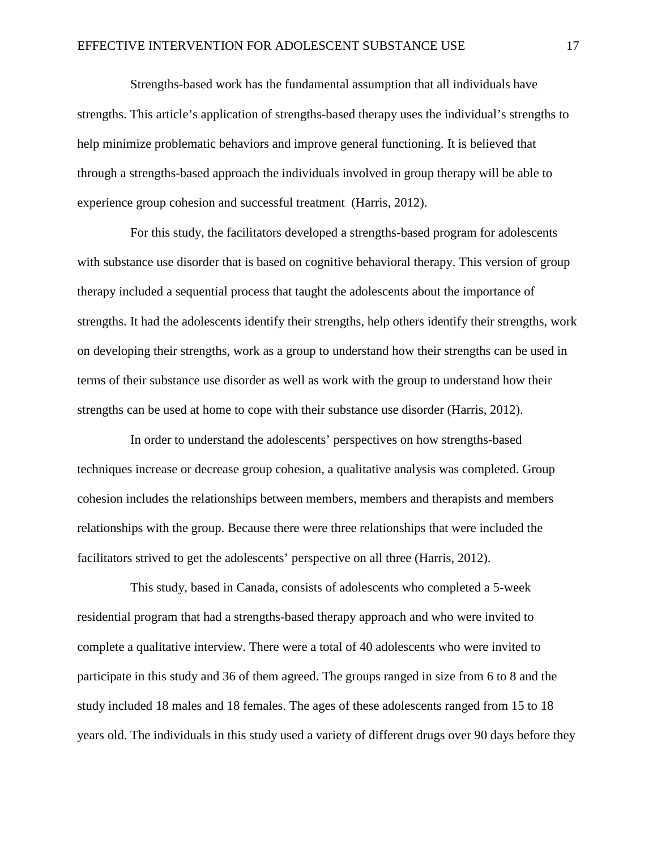Strengths-based work has the fundamental assumption that all individuals have strengths. This article's application of strengths-based therapy uses the individual's strengths to help minimize problematic behaviors and improve general functioning. It is believed that through a strengths-based approach the individuals involved in group therapy will be able to experience group cohesion and successful treatment (Harris, 2012).

For this study, the facilitators developed a strengths-based program for adolescents with substance use disorder that is based on cognitive behavioral therapy. This version of group therapy included a sequential process that taught the adolescents about the importance of strengths. It had the adolescents identify their strengths, help others identify their strengths, work on developing their strengths, work as a group to understand how their strengths can be used in terms of their substance use disorder as well as work with the group to understand how their strengths can be used at home to cope with their substance use disorder (Harris, 2012).

In order to understand the adolescents' perspectives on how strengths-based techniques increase or decrease group cohesion, a qualitative analysis was completed. Group cohesion includes the relationships between members, members and therapists and members relationships with the group. Because there were three relationships that were included the facilitators strived to get the adolescents' perspective on all three (Harris, 2012).

This study, based in Canada, consists of adolescents who completed a 5-week residential program that had a strengths-based therapy approach and who were invited to complete a qualitative interview. There were a total of 40 adolescents who were invited to participate in this study and 36 of them agreed. The groups ranged in size from 6 to 8 and the study included 18 males and 18 females. The ages of these adolescents ranged from 15 to 18 years old. The individuals in this study used a variety of different drugs over 90 days before they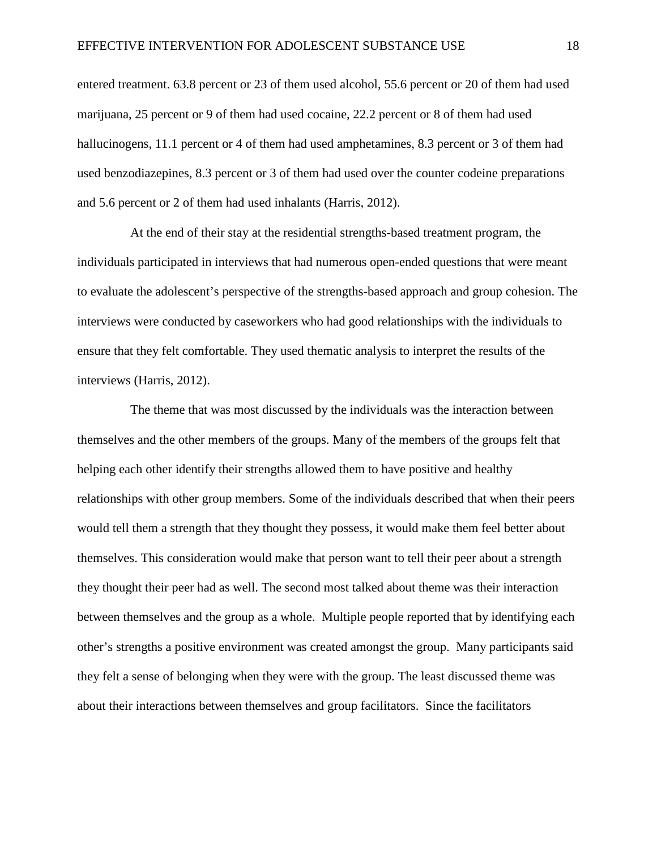entered treatment. 63.8 percent or 23 of them used alcohol, 55.6 percent or 20 of them had used marijuana, 25 percent or 9 of them had used cocaine, 22.2 percent or 8 of them had used hallucinogens, 11.1 percent or 4 of them had used amphetamines, 8.3 percent or 3 of them had used benzodiazepines, 8.3 percent or 3 of them had used over the counter codeine preparations and 5.6 percent or 2 of them had used inhalants (Harris, 2012).

At the end of their stay at the residential strengths-based treatment program, the individuals participated in interviews that had numerous open-ended questions that were meant to evaluate the adolescent's perspective of the strengths-based approach and group cohesion. The interviews were conducted by caseworkers who had good relationships with the individuals to ensure that they felt comfortable. They used thematic analysis to interpret the results of the interviews (Harris, 2012).

The theme that was most discussed by the individuals was the interaction between themselves and the other members of the groups. Many of the members of the groups felt that helping each other identify their strengths allowed them to have positive and healthy relationships with other group members. Some of the individuals described that when their peers would tell them a strength that they thought they possess, it would make them feel better about themselves. This consideration would make that person want to tell their peer about a strength they thought their peer had as well. The second most talked about theme was their interaction between themselves and the group as a whole. Multiple people reported that by identifying each other's strengths a positive environment was created amongst the group. Many participants said they felt a sense of belonging when they were with the group. The least discussed theme was about their interactions between themselves and group facilitators. Since the facilitators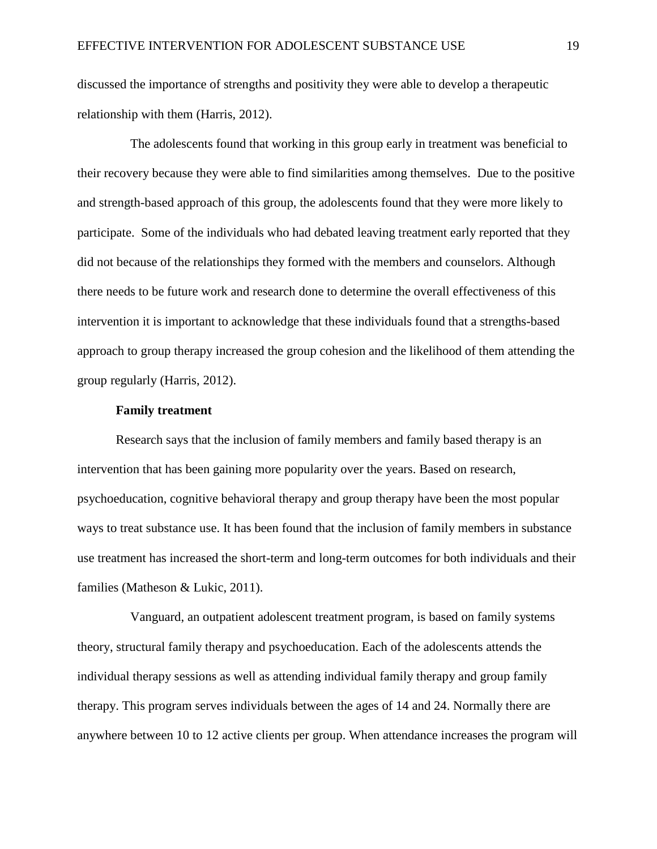discussed the importance of strengths and positivity they were able to develop a therapeutic relationship with them (Harris, 2012).

The adolescents found that working in this group early in treatment was beneficial to their recovery because they were able to find similarities among themselves. Due to the positive and strength-based approach of this group, the adolescents found that they were more likely to participate. Some of the individuals who had debated leaving treatment early reported that they did not because of the relationships they formed with the members and counselors. Although there needs to be future work and research done to determine the overall effectiveness of this intervention it is important to acknowledge that these individuals found that a strengths-based approach to group therapy increased the group cohesion and the likelihood of them attending the group regularly (Harris, 2012).

# **Family treatment**

Research says that the inclusion of family members and family based therapy is an intervention that has been gaining more popularity over the years. Based on research, psychoeducation, cognitive behavioral therapy and group therapy have been the most popular ways to treat substance use. It has been found that the inclusion of family members in substance use treatment has increased the short-term and long-term outcomes for both individuals and their families (Matheson & Lukic, 2011).

Vanguard, an outpatient adolescent treatment program, is based on family systems theory, structural family therapy and psychoeducation. Each of the adolescents attends the individual therapy sessions as well as attending individual family therapy and group family therapy. This program serves individuals between the ages of 14 and 24. Normally there are anywhere between 10 to 12 active clients per group. When attendance increases the program will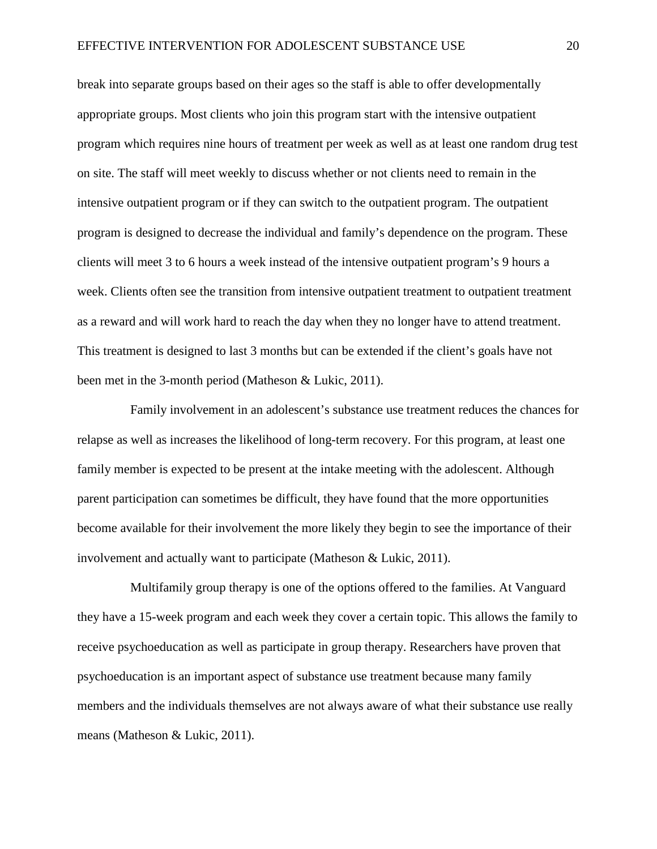break into separate groups based on their ages so the staff is able to offer developmentally appropriate groups. Most clients who join this program start with the intensive outpatient program which requires nine hours of treatment per week as well as at least one random drug test on site. The staff will meet weekly to discuss whether or not clients need to remain in the intensive outpatient program or if they can switch to the outpatient program. The outpatient program is designed to decrease the individual and family's dependence on the program. These clients will meet 3 to 6 hours a week instead of the intensive outpatient program's 9 hours a week. Clients often see the transition from intensive outpatient treatment to outpatient treatment as a reward and will work hard to reach the day when they no longer have to attend treatment. This treatment is designed to last 3 months but can be extended if the client's goals have not been met in the 3-month period (Matheson & Lukic, 2011).

Family involvement in an adolescent's substance use treatment reduces the chances for relapse as well as increases the likelihood of long-term recovery. For this program, at least one family member is expected to be present at the intake meeting with the adolescent. Although parent participation can sometimes be difficult, they have found that the more opportunities become available for their involvement the more likely they begin to see the importance of their involvement and actually want to participate (Matheson & Lukic, 2011).

Multifamily group therapy is one of the options offered to the families. At Vanguard they have a 15-week program and each week they cover a certain topic. This allows the family to receive psychoeducation as well as participate in group therapy. Researchers have proven that psychoeducation is an important aspect of substance use treatment because many family members and the individuals themselves are not always aware of what their substance use really means (Matheson & Lukic, 2011).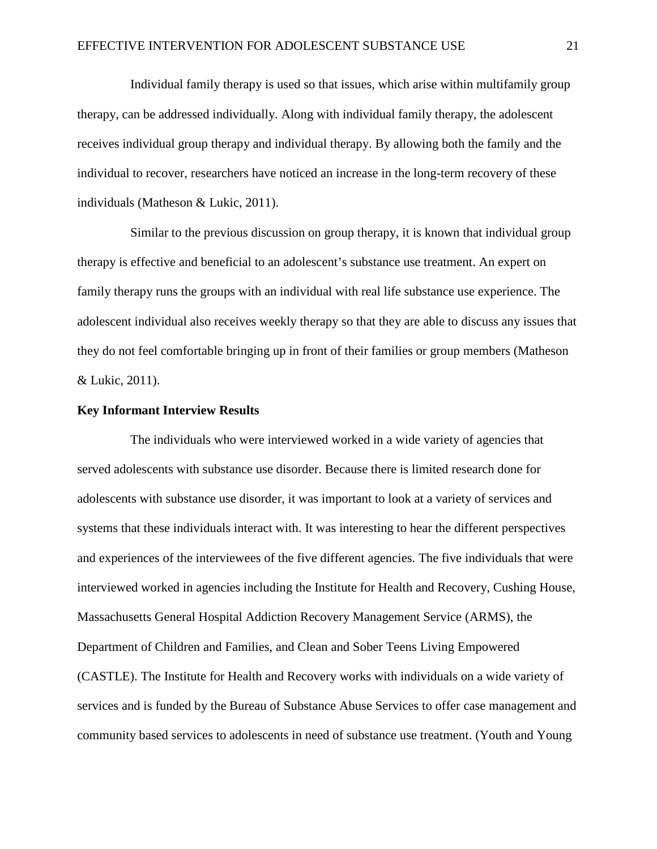Individual family therapy is used so that issues, which arise within multifamily group therapy, can be addressed individually. Along with individual family therapy, the adolescent receives individual group therapy and individual therapy. By allowing both the family and the individual to recover, researchers have noticed an increase in the long-term recovery of these individuals (Matheson & Lukic, 2011).

Similar to the previous discussion on group therapy, it is known that individual group therapy is effective and beneficial to an adolescent's substance use treatment. An expert on family therapy runs the groups with an individual with real life substance use experience. The adolescent individual also receives weekly therapy so that they are able to discuss any issues that they do not feel comfortable bringing up in front of their families or group members (Matheson & Lukic, 2011).

# **Key Informant Interview Results**

The individuals who were interviewed worked in a wide variety of agencies that served adolescents with substance use disorder. Because there is limited research done for adolescents with substance use disorder, it was important to look at a variety of services and systems that these individuals interact with. It was interesting to hear the different perspectives and experiences of the interviewees of the five different agencies. The five individuals that were interviewed worked in agencies including the Institute for Health and Recovery, Cushing House, Massachusetts General Hospital Addiction Recovery Management Service (ARMS), the Department of Children and Families, and Clean and Sober Teens Living Empowered (CASTLE). The Institute for Health and Recovery works with individuals on a wide variety of services and is funded by the Bureau of Substance Abuse Services to offer case management and community based services to adolescents in need of substance use treatment. (Youth and Young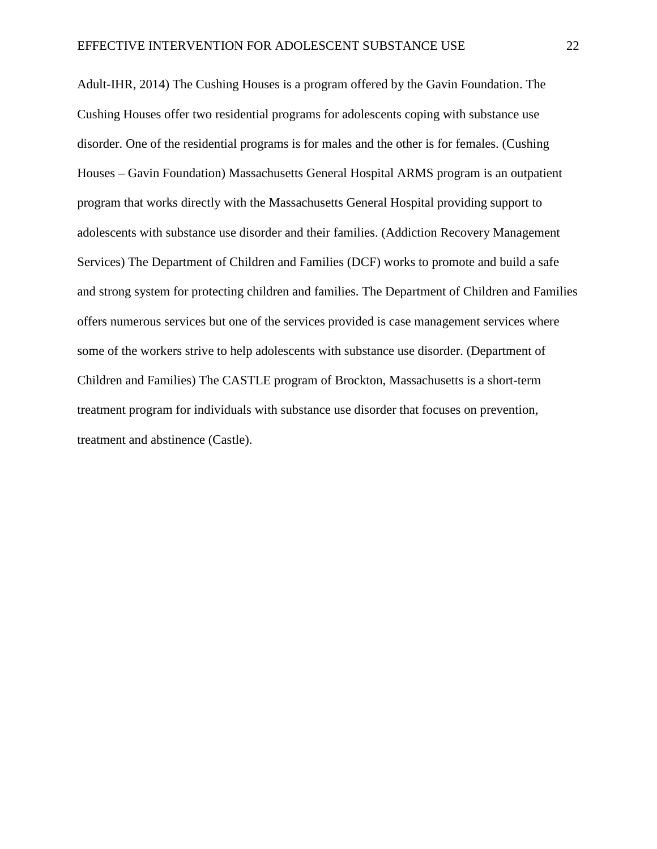Adult-IHR, 2014) The Cushing Houses is a program offered by the Gavin Foundation. The Cushing Houses offer two residential programs for adolescents coping with substance use disorder. One of the residential programs is for males and the other is for females. (Cushing Houses – Gavin Foundation) Massachusetts General Hospital ARMS program is an outpatient program that works directly with the Massachusetts General Hospital providing support to adolescents with substance use disorder and their families. (Addiction Recovery Management Services) The Department of Children and Families (DCF) works to promote and build a safe and strong system for protecting children and families. The Department of Children and Families offers numerous services but one of the services provided is case management services where some of the workers strive to help adolescents with substance use disorder. (Department of Children and Families) The CASTLE program of Brockton, Massachusetts is a short-term treatment program for individuals with substance use disorder that focuses on prevention, treatment and abstinence (Castle).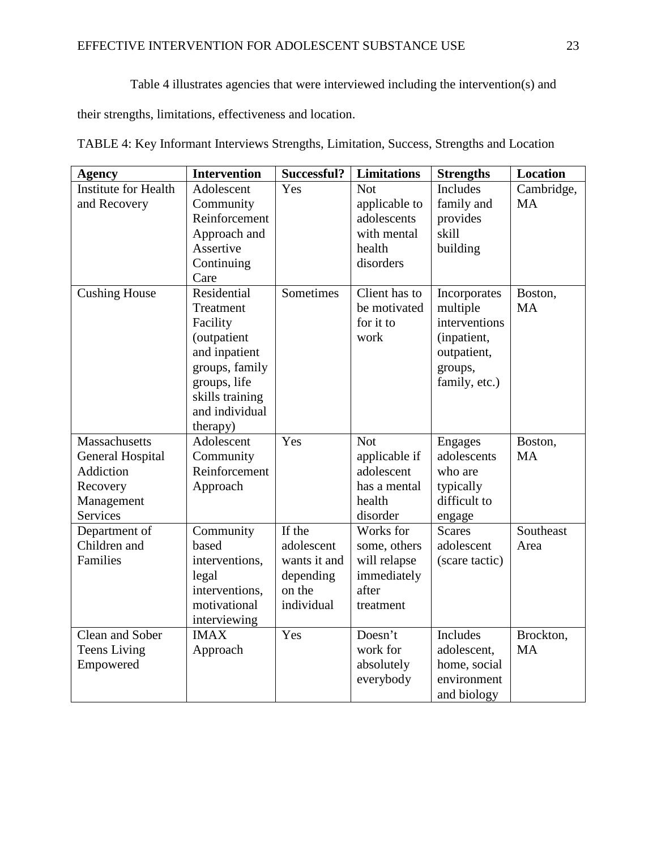Table 4 illustrates agencies that were interviewed including the intervention(s) and

their strengths, limitations, effectiveness and location.

| <b>Agency</b>               | <b>Intervention</b> | Successful?  | <b>Limitations</b> | <b>Strengths</b> | Location   |
|-----------------------------|---------------------|--------------|--------------------|------------------|------------|
| <b>Institute for Health</b> | Adolescent          | Yes          | <b>Not</b>         | <b>Includes</b>  | Cambridge, |
| and Recovery                | Community           |              | applicable to      | family and       | <b>MA</b>  |
|                             | Reinforcement       |              | adolescents        | provides         |            |
|                             | Approach and        |              | with mental        | skill            |            |
|                             | Assertive           |              | health             | building         |            |
|                             | Continuing          |              | disorders          |                  |            |
|                             | Care                |              |                    |                  |            |
| <b>Cushing House</b>        | Residential         | Sometimes    | Client has to      | Incorporates     | Boston,    |
|                             | Treatment           |              | be motivated       | multiple         | <b>MA</b>  |
|                             | Facility            |              | for it to          | interventions    |            |
|                             | <i>(outpatient</i>  |              | work               | (inpatient,      |            |
|                             | and inpatient       |              |                    | outpatient,      |            |
|                             | groups, family      |              |                    | groups,          |            |
|                             | groups, life        |              |                    | family, etc.)    |            |
|                             | skills training     |              |                    |                  |            |
|                             | and individual      |              |                    |                  |            |
|                             | therapy)            |              |                    |                  |            |
| Massachusetts               | Adolescent          | Yes          | <b>Not</b>         | <b>Engages</b>   | Boston,    |
| General Hospital            | Community           |              | applicable if      | adolescents      | <b>MA</b>  |
| <b>Addiction</b>            | Reinforcement       |              | adolescent         | who are          |            |
| Recovery                    | Approach            |              | has a mental       | typically        |            |
| Management                  |                     |              | health             | difficult to     |            |
| <b>Services</b>             |                     |              | disorder           | engage           |            |
| Department of               | Community           | If the       | Works for          | <b>Scares</b>    | Southeast  |
| Children and                | based               | adolescent   | some, others       | adolescent       | Area       |
| Families                    | interventions,      | wants it and | will relapse       | (scare tactic)   |            |
|                             | legal               | depending    | immediately        |                  |            |
|                             | interventions,      | on the       | after              |                  |            |
|                             | motivational        | individual   | treatment          |                  |            |
|                             | interviewing        |              |                    |                  |            |
| Clean and Sober             | <b>IMAX</b>         | Yes          | Doesn't            | <b>Includes</b>  | Brockton,  |
| <b>Teens Living</b>         | Approach            |              | work for           | adolescent,      | <b>MA</b>  |
| Empowered                   |                     |              | absolutely         | home, social     |            |
|                             |                     |              | everybody          | environment      |            |
|                             |                     |              |                    | and biology      |            |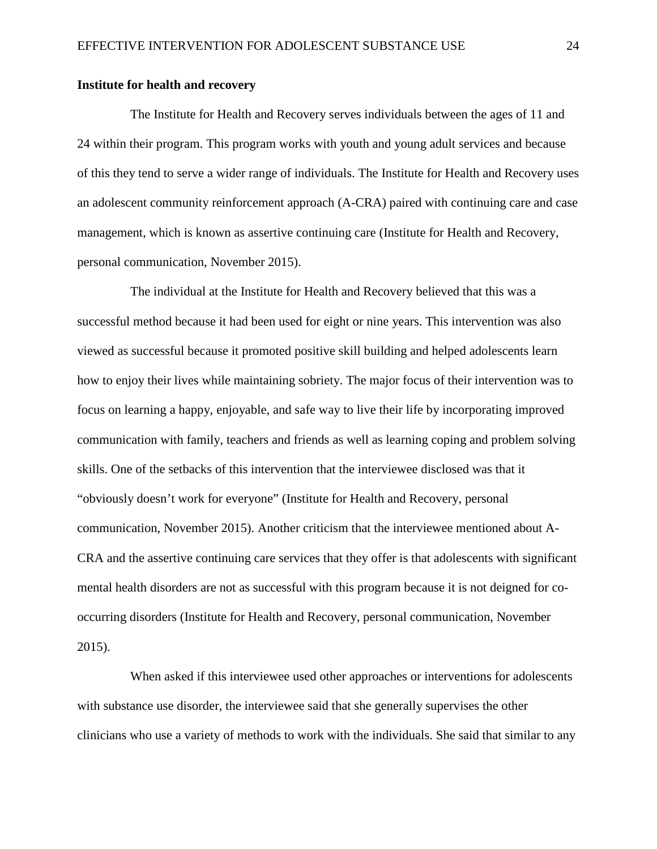# **Institute for health and recovery**

The Institute for Health and Recovery serves individuals between the ages of 11 and 24 within their program. This program works with youth and young adult services and because of this they tend to serve a wider range of individuals. The Institute for Health and Recovery uses an adolescent community reinforcement approach (A-CRA) paired with continuing care and case management, which is known as assertive continuing care (Institute for Health and Recovery, personal communication, November 2015).

The individual at the Institute for Health and Recovery believed that this was a successful method because it had been used for eight or nine years. This intervention was also viewed as successful because it promoted positive skill building and helped adolescents learn how to enjoy their lives while maintaining sobriety. The major focus of their intervention was to focus on learning a happy, enjoyable, and safe way to live their life by incorporating improved communication with family, teachers and friends as well as learning coping and problem solving skills. One of the setbacks of this intervention that the interviewee disclosed was that it "obviously doesn't work for everyone" (Institute for Health and Recovery, personal communication, November 2015). Another criticism that the interviewee mentioned about A-CRA and the assertive continuing care services that they offer is that adolescents with significant mental health disorders are not as successful with this program because it is not deigned for cooccurring disorders (Institute for Health and Recovery, personal communication, November 2015).

When asked if this interviewee used other approaches or interventions for adolescents with substance use disorder, the interviewee said that she generally supervises the other clinicians who use a variety of methods to work with the individuals. She said that similar to any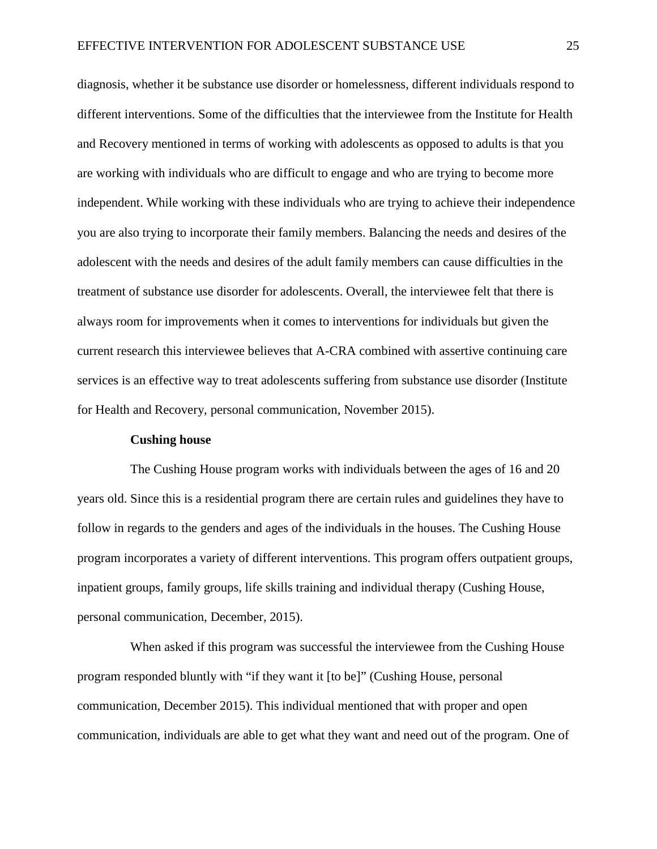diagnosis, whether it be substance use disorder or homelessness, different individuals respond to different interventions. Some of the difficulties that the interviewee from the Institute for Health and Recovery mentioned in terms of working with adolescents as opposed to adults is that you are working with individuals who are difficult to engage and who are trying to become more independent. While working with these individuals who are trying to achieve their independence you are also trying to incorporate their family members. Balancing the needs and desires of the adolescent with the needs and desires of the adult family members can cause difficulties in the treatment of substance use disorder for adolescents. Overall, the interviewee felt that there is always room for improvements when it comes to interventions for individuals but given the current research this interviewee believes that A-CRA combined with assertive continuing care services is an effective way to treat adolescents suffering from substance use disorder (Institute for Health and Recovery, personal communication, November 2015).

#### **Cushing house**

The Cushing House program works with individuals between the ages of 16 and 20 years old. Since this is a residential program there are certain rules and guidelines they have to follow in regards to the genders and ages of the individuals in the houses. The Cushing House program incorporates a variety of different interventions. This program offers outpatient groups, inpatient groups, family groups, life skills training and individual therapy (Cushing House, personal communication, December, 2015).

When asked if this program was successful the interviewee from the Cushing House program responded bluntly with "if they want it [to be]" (Cushing House, personal communication, December 2015). This individual mentioned that with proper and open communication, individuals are able to get what they want and need out of the program. One of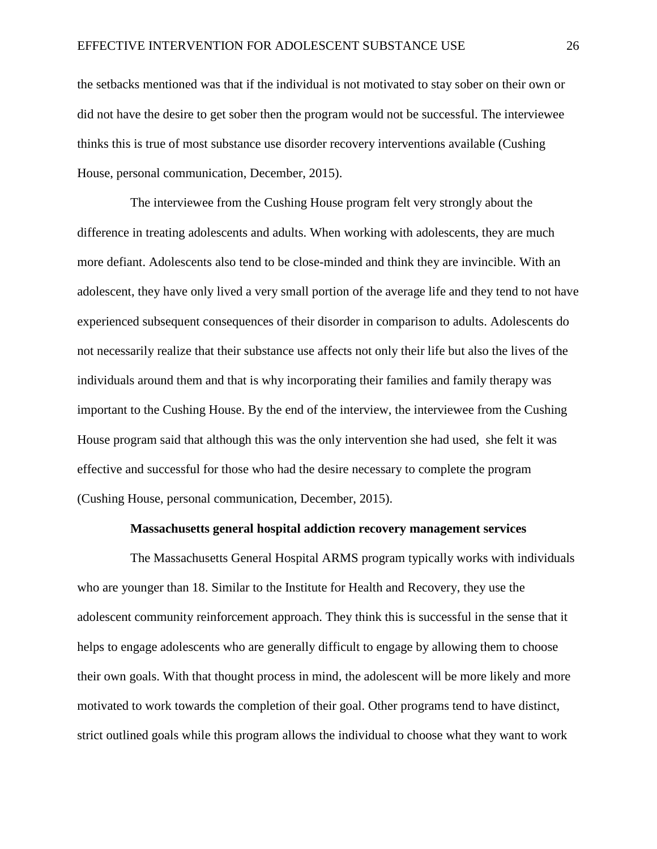the setbacks mentioned was that if the individual is not motivated to stay sober on their own or did not have the desire to get sober then the program would not be successful. The interviewee thinks this is true of most substance use disorder recovery interventions available (Cushing House, personal communication, December, 2015).

The interviewee from the Cushing House program felt very strongly about the difference in treating adolescents and adults. When working with adolescents, they are much more defiant. Adolescents also tend to be close-minded and think they are invincible. With an adolescent, they have only lived a very small portion of the average life and they tend to not have experienced subsequent consequences of their disorder in comparison to adults. Adolescents do not necessarily realize that their substance use affects not only their life but also the lives of the individuals around them and that is why incorporating their families and family therapy was important to the Cushing House. By the end of the interview, the interviewee from the Cushing House program said that although this was the only intervention she had used, she felt it was effective and successful for those who had the desire necessary to complete the program (Cushing House, personal communication, December, 2015).

#### **Massachusetts general hospital addiction recovery management services**

The Massachusetts General Hospital ARMS program typically works with individuals who are younger than 18. Similar to the Institute for Health and Recovery, they use the adolescent community reinforcement approach. They think this is successful in the sense that it helps to engage adolescents who are generally difficult to engage by allowing them to choose their own goals. With that thought process in mind, the adolescent will be more likely and more motivated to work towards the completion of their goal. Other programs tend to have distinct, strict outlined goals while this program allows the individual to choose what they want to work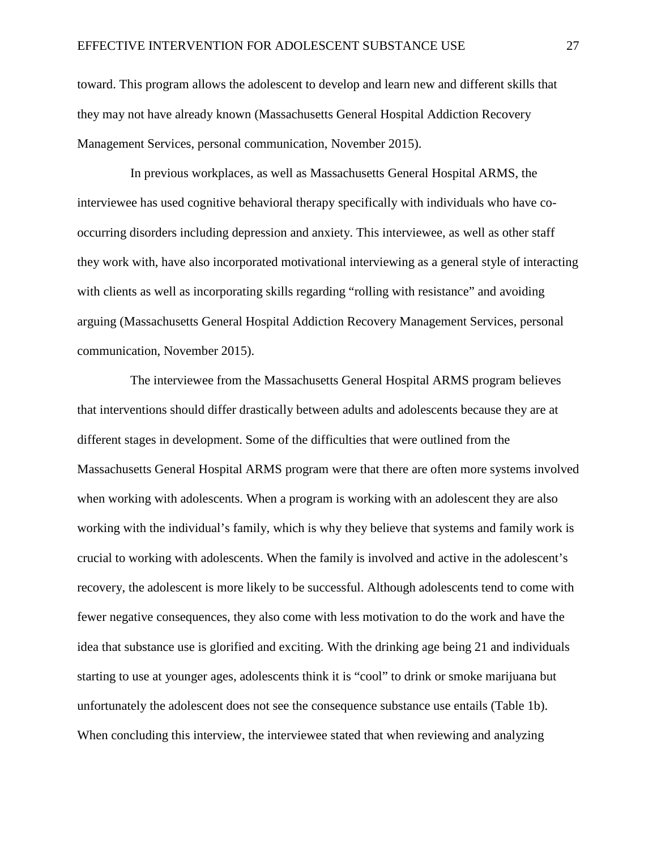toward. This program allows the adolescent to develop and learn new and different skills that they may not have already known (Massachusetts General Hospital Addiction Recovery Management Services, personal communication, November 2015).

In previous workplaces, as well as Massachusetts General Hospital ARMS, the interviewee has used cognitive behavioral therapy specifically with individuals who have cooccurring disorders including depression and anxiety. This interviewee, as well as other staff they work with, have also incorporated motivational interviewing as a general style of interacting with clients as well as incorporating skills regarding "rolling with resistance" and avoiding arguing (Massachusetts General Hospital Addiction Recovery Management Services, personal communication, November 2015).

The interviewee from the Massachusetts General Hospital ARMS program believes that interventions should differ drastically between adults and adolescents because they are at different stages in development. Some of the difficulties that were outlined from the Massachusetts General Hospital ARMS program were that there are often more systems involved when working with adolescents. When a program is working with an adolescent they are also working with the individual's family, which is why they believe that systems and family work is crucial to working with adolescents. When the family is involved and active in the adolescent's recovery, the adolescent is more likely to be successful. Although adolescents tend to come with fewer negative consequences, they also come with less motivation to do the work and have the idea that substance use is glorified and exciting. With the drinking age being 21 and individuals starting to use at younger ages, adolescents think it is "cool" to drink or smoke marijuana but unfortunately the adolescent does not see the consequence substance use entails (Table 1b). When concluding this interview, the interviewee stated that when reviewing and analyzing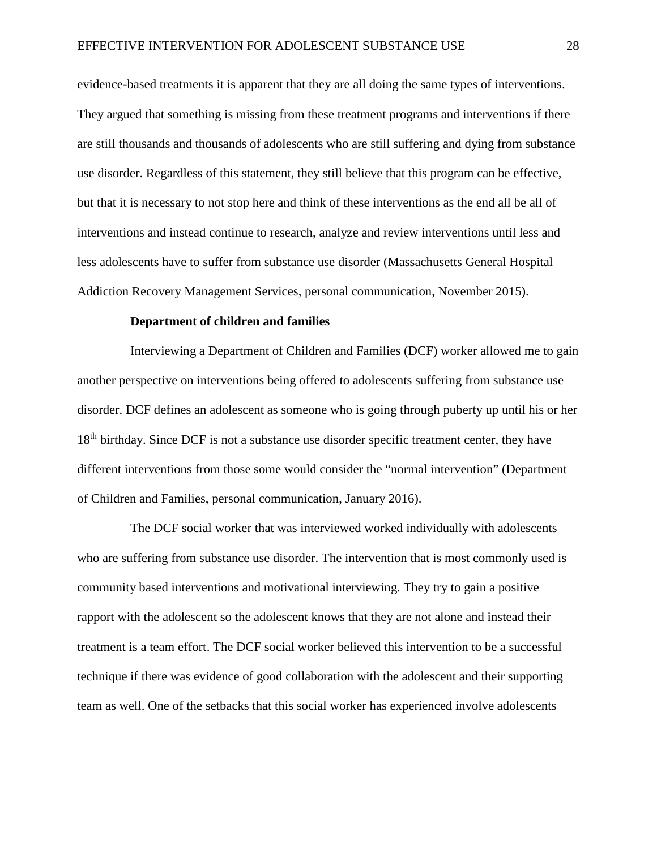evidence-based treatments it is apparent that they are all doing the same types of interventions. They argued that something is missing from these treatment programs and interventions if there are still thousands and thousands of adolescents who are still suffering and dying from substance use disorder. Regardless of this statement, they still believe that this program can be effective, but that it is necessary to not stop here and think of these interventions as the end all be all of interventions and instead continue to research, analyze and review interventions until less and less adolescents have to suffer from substance use disorder (Massachusetts General Hospital Addiction Recovery Management Services, personal communication, November 2015).

# **Department of children and families**

Interviewing a Department of Children and Families (DCF) worker allowed me to gain another perspective on interventions being offered to adolescents suffering from substance use disorder. DCF defines an adolescent as someone who is going through puberty up until his or her 18<sup>th</sup> birthday. Since DCF is not a substance use disorder specific treatment center, they have different interventions from those some would consider the "normal intervention" (Department of Children and Families, personal communication, January 2016).

The DCF social worker that was interviewed worked individually with adolescents who are suffering from substance use disorder. The intervention that is most commonly used is community based interventions and motivational interviewing. They try to gain a positive rapport with the adolescent so the adolescent knows that they are not alone and instead their treatment is a team effort. The DCF social worker believed this intervention to be a successful technique if there was evidence of good collaboration with the adolescent and their supporting team as well. One of the setbacks that this social worker has experienced involve adolescents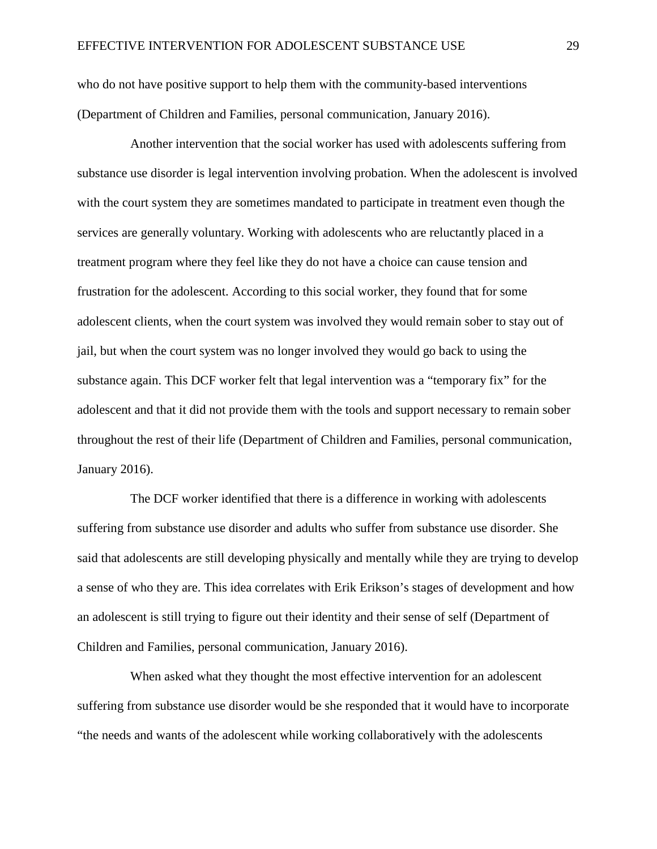who do not have positive support to help them with the community-based interventions (Department of Children and Families, personal communication, January 2016).

Another intervention that the social worker has used with adolescents suffering from substance use disorder is legal intervention involving probation. When the adolescent is involved with the court system they are sometimes mandated to participate in treatment even though the services are generally voluntary. Working with adolescents who are reluctantly placed in a treatment program where they feel like they do not have a choice can cause tension and frustration for the adolescent. According to this social worker, they found that for some adolescent clients, when the court system was involved they would remain sober to stay out of jail, but when the court system was no longer involved they would go back to using the substance again. This DCF worker felt that legal intervention was a "temporary fix" for the adolescent and that it did not provide them with the tools and support necessary to remain sober throughout the rest of their life (Department of Children and Families, personal communication, January 2016).

The DCF worker identified that there is a difference in working with adolescents suffering from substance use disorder and adults who suffer from substance use disorder. She said that adolescents are still developing physically and mentally while they are trying to develop a sense of who they are. This idea correlates with Erik Erikson's stages of development and how an adolescent is still trying to figure out their identity and their sense of self (Department of Children and Families, personal communication, January 2016).

When asked what they thought the most effective intervention for an adolescent suffering from substance use disorder would be she responded that it would have to incorporate "the needs and wants of the adolescent while working collaboratively with the adolescents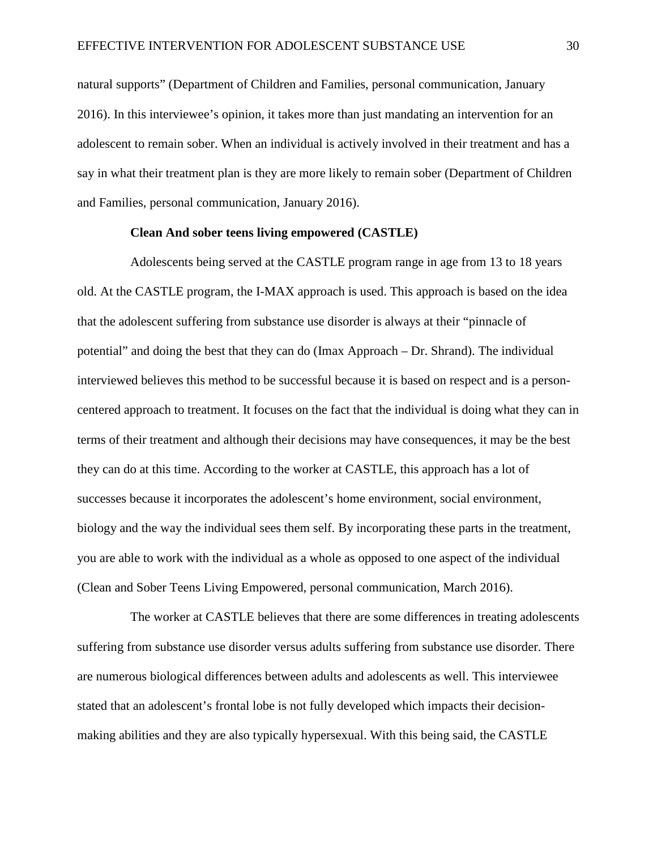natural supports" (Department of Children and Families, personal communication, January 2016). In this interviewee's opinion, it takes more than just mandating an intervention for an adolescent to remain sober. When an individual is actively involved in their treatment and has a say in what their treatment plan is they are more likely to remain sober (Department of Children and Families, personal communication, January 2016).

#### **Clean And sober teens living empowered (CASTLE)**

Adolescents being served at the CASTLE program range in age from 13 to 18 years old. At the CASTLE program, the I-MAX approach is used. This approach is based on the idea that the adolescent suffering from substance use disorder is always at their "pinnacle of potential" and doing the best that they can do (Imax Approach – Dr. Shrand). The individual interviewed believes this method to be successful because it is based on respect and is a personcentered approach to treatment. It focuses on the fact that the individual is doing what they can in terms of their treatment and although their decisions may have consequences, it may be the best they can do at this time. According to the worker at CASTLE, this approach has a lot of successes because it incorporates the adolescent's home environment, social environment, biology and the way the individual sees them self. By incorporating these parts in the treatment, you are able to work with the individual as a whole as opposed to one aspect of the individual (Clean and Sober Teens Living Empowered, personal communication, March 2016).

The worker at CASTLE believes that there are some differences in treating adolescents suffering from substance use disorder versus adults suffering from substance use disorder. There are numerous biological differences between adults and adolescents as well. This interviewee stated that an adolescent's frontal lobe is not fully developed which impacts their decisionmaking abilities and they are also typically hypersexual. With this being said, the CASTLE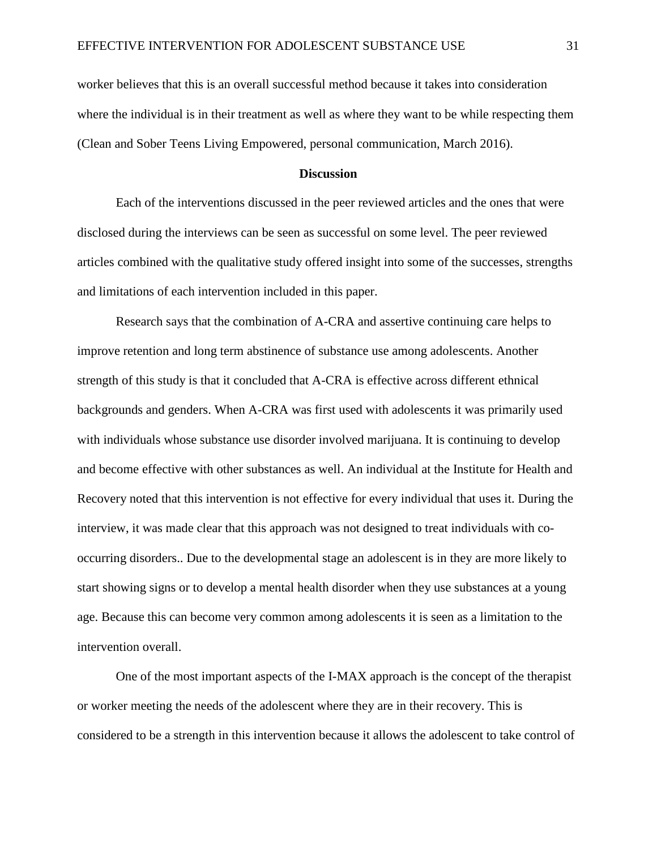worker believes that this is an overall successful method because it takes into consideration where the individual is in their treatment as well as where they want to be while respecting them (Clean and Sober Teens Living Empowered, personal communication, March 2016).

#### **Discussion**

Each of the interventions discussed in the peer reviewed articles and the ones that were disclosed during the interviews can be seen as successful on some level. The peer reviewed articles combined with the qualitative study offered insight into some of the successes, strengths and limitations of each intervention included in this paper.

Research says that the combination of A-CRA and assertive continuing care helps to improve retention and long term abstinence of substance use among adolescents. Another strength of this study is that it concluded that A-CRA is effective across different ethnical backgrounds and genders. When A-CRA was first used with adolescents it was primarily used with individuals whose substance use disorder involved marijuana. It is continuing to develop and become effective with other substances as well. An individual at the Institute for Health and Recovery noted that this intervention is not effective for every individual that uses it. During the interview, it was made clear that this approach was not designed to treat individuals with cooccurring disorders.. Due to the developmental stage an adolescent is in they are more likely to start showing signs or to develop a mental health disorder when they use substances at a young age. Because this can become very common among adolescents it is seen as a limitation to the intervention overall.

One of the most important aspects of the I-MAX approach is the concept of the therapist or worker meeting the needs of the adolescent where they are in their recovery. This is considered to be a strength in this intervention because it allows the adolescent to take control of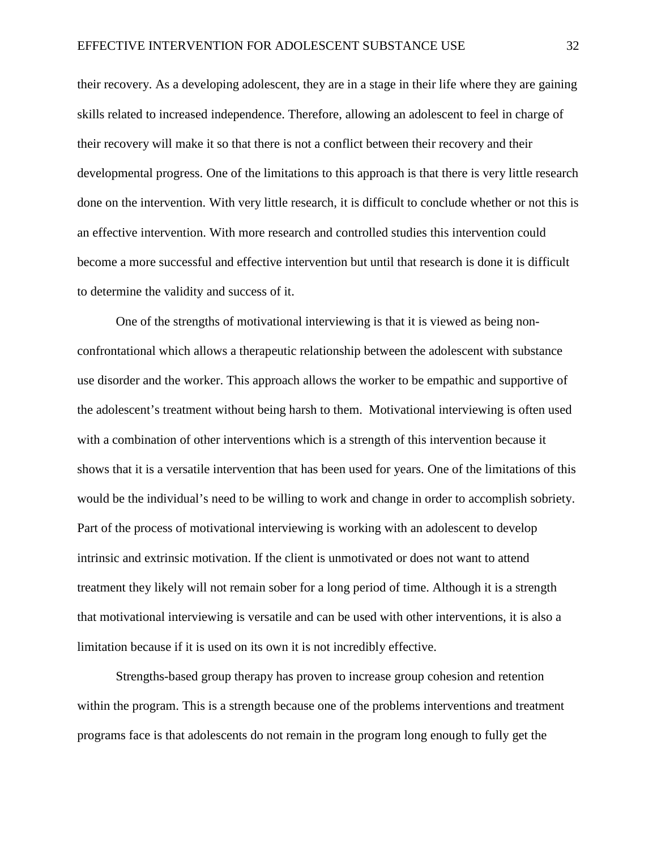their recovery. As a developing adolescent, they are in a stage in their life where they are gaining skills related to increased independence. Therefore, allowing an adolescent to feel in charge of their recovery will make it so that there is not a conflict between their recovery and their developmental progress. One of the limitations to this approach is that there is very little research done on the intervention. With very little research, it is difficult to conclude whether or not this is an effective intervention. With more research and controlled studies this intervention could become a more successful and effective intervention but until that research is done it is difficult to determine the validity and success of it.

One of the strengths of motivational interviewing is that it is viewed as being nonconfrontational which allows a therapeutic relationship between the adolescent with substance use disorder and the worker. This approach allows the worker to be empathic and supportive of the adolescent's treatment without being harsh to them. Motivational interviewing is often used with a combination of other interventions which is a strength of this intervention because it shows that it is a versatile intervention that has been used for years. One of the limitations of this would be the individual's need to be willing to work and change in order to accomplish sobriety. Part of the process of motivational interviewing is working with an adolescent to develop intrinsic and extrinsic motivation. If the client is unmotivated or does not want to attend treatment they likely will not remain sober for a long period of time. Although it is a strength that motivational interviewing is versatile and can be used with other interventions, it is also a limitation because if it is used on its own it is not incredibly effective.

Strengths-based group therapy has proven to increase group cohesion and retention within the program. This is a strength because one of the problems interventions and treatment programs face is that adolescents do not remain in the program long enough to fully get the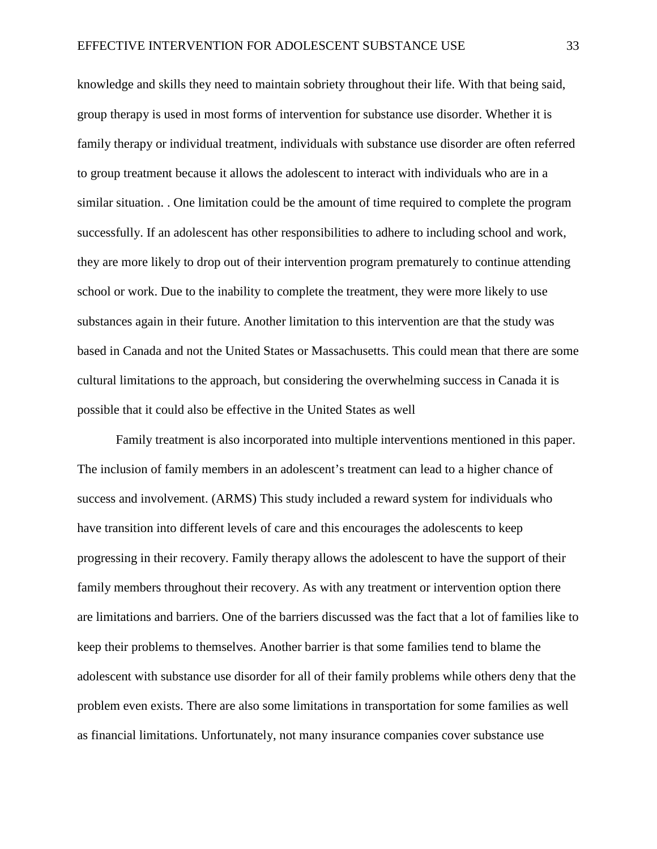knowledge and skills they need to maintain sobriety throughout their life. With that being said, group therapy is used in most forms of intervention for substance use disorder. Whether it is family therapy or individual treatment, individuals with substance use disorder are often referred to group treatment because it allows the adolescent to interact with individuals who are in a similar situation. . One limitation could be the amount of time required to complete the program successfully. If an adolescent has other responsibilities to adhere to including school and work, they are more likely to drop out of their intervention program prematurely to continue attending school or work. Due to the inability to complete the treatment, they were more likely to use substances again in their future. Another limitation to this intervention are that the study was based in Canada and not the United States or Massachusetts. This could mean that there are some cultural limitations to the approach, but considering the overwhelming success in Canada it is possible that it could also be effective in the United States as well

Family treatment is also incorporated into multiple interventions mentioned in this paper. The inclusion of family members in an adolescent's treatment can lead to a higher chance of success and involvement. (ARMS) This study included a reward system for individuals who have transition into different levels of care and this encourages the adolescents to keep progressing in their recovery. Family therapy allows the adolescent to have the support of their family members throughout their recovery. As with any treatment or intervention option there are limitations and barriers. One of the barriers discussed was the fact that a lot of families like to keep their problems to themselves. Another barrier is that some families tend to blame the adolescent with substance use disorder for all of their family problems while others deny that the problem even exists. There are also some limitations in transportation for some families as well as financial limitations. Unfortunately, not many insurance companies cover substance use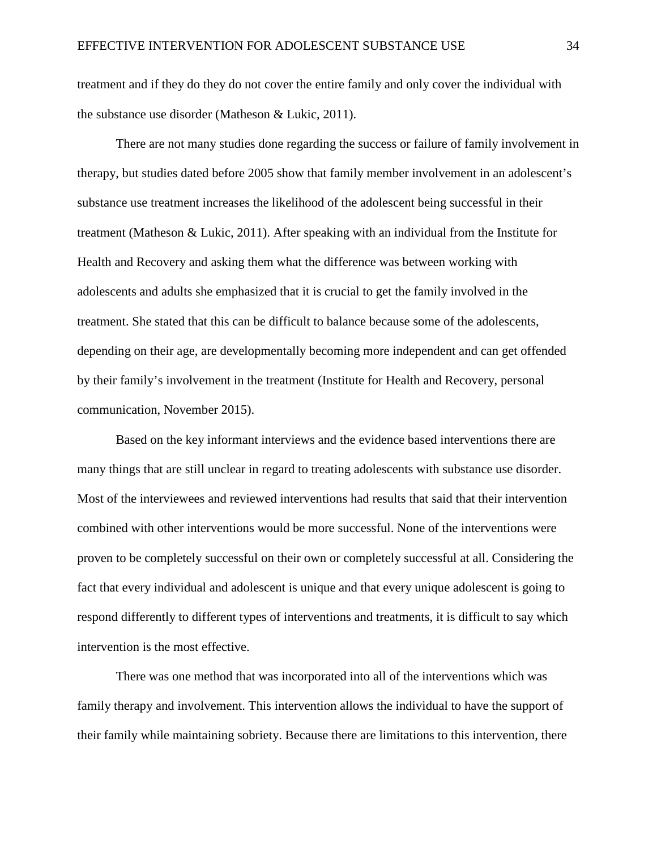treatment and if they do they do not cover the entire family and only cover the individual with the substance use disorder (Matheson & Lukic, 2011).

There are not many studies done regarding the success or failure of family involvement in therapy, but studies dated before 2005 show that family member involvement in an adolescent's substance use treatment increases the likelihood of the adolescent being successful in their treatment (Matheson & Lukic, 2011). After speaking with an individual from the Institute for Health and Recovery and asking them what the difference was between working with adolescents and adults she emphasized that it is crucial to get the family involved in the treatment. She stated that this can be difficult to balance because some of the adolescents, depending on their age, are developmentally becoming more independent and can get offended by their family's involvement in the treatment (Institute for Health and Recovery, personal communication, November 2015).

Based on the key informant interviews and the evidence based interventions there are many things that are still unclear in regard to treating adolescents with substance use disorder. Most of the interviewees and reviewed interventions had results that said that their intervention combined with other interventions would be more successful. None of the interventions were proven to be completely successful on their own or completely successful at all. Considering the fact that every individual and adolescent is unique and that every unique adolescent is going to respond differently to different types of interventions and treatments, it is difficult to say which intervention is the most effective.

There was one method that was incorporated into all of the interventions which was family therapy and involvement. This intervention allows the individual to have the support of their family while maintaining sobriety. Because there are limitations to this intervention, there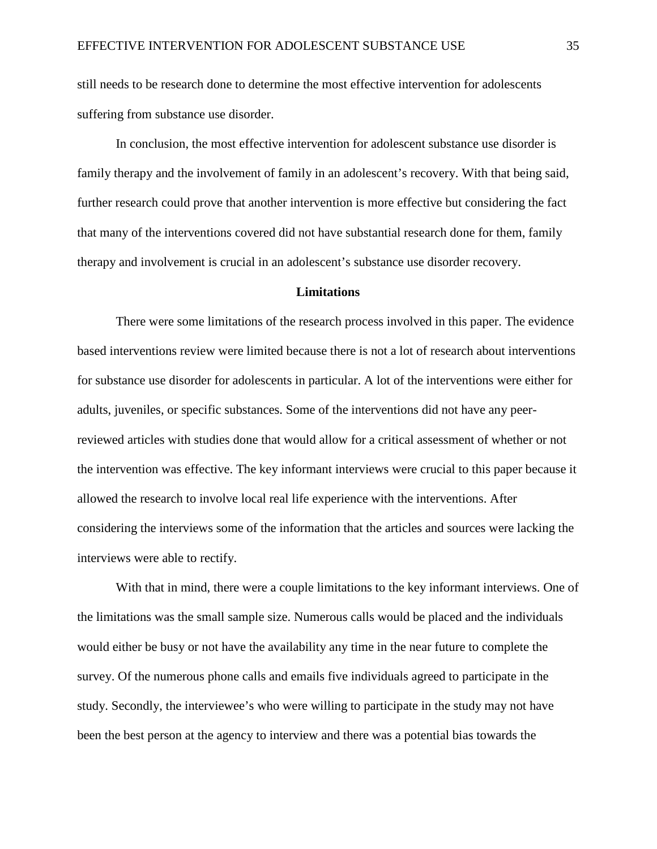still needs to be research done to determine the most effective intervention for adolescents suffering from substance use disorder.

In conclusion, the most effective intervention for adolescent substance use disorder is family therapy and the involvement of family in an adolescent's recovery. With that being said, further research could prove that another intervention is more effective but considering the fact that many of the interventions covered did not have substantial research done for them, family therapy and involvement is crucial in an adolescent's substance use disorder recovery.

# **Limitations**

There were some limitations of the research process involved in this paper. The evidence based interventions review were limited because there is not a lot of research about interventions for substance use disorder for adolescents in particular. A lot of the interventions were either for adults, juveniles, or specific substances. Some of the interventions did not have any peerreviewed articles with studies done that would allow for a critical assessment of whether or not the intervention was effective. The key informant interviews were crucial to this paper because it allowed the research to involve local real life experience with the interventions. After considering the interviews some of the information that the articles and sources were lacking the interviews were able to rectify.

With that in mind, there were a couple limitations to the key informant interviews. One of the limitations was the small sample size. Numerous calls would be placed and the individuals would either be busy or not have the availability any time in the near future to complete the survey. Of the numerous phone calls and emails five individuals agreed to participate in the study. Secondly, the interviewee's who were willing to participate in the study may not have been the best person at the agency to interview and there was a potential bias towards the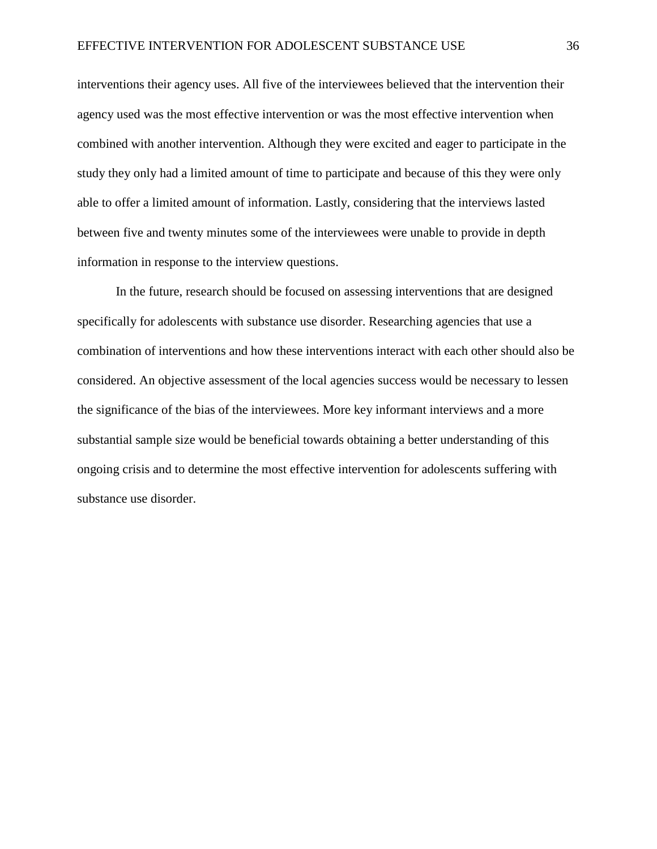interventions their agency uses. All five of the interviewees believed that the intervention their agency used was the most effective intervention or was the most effective intervention when combined with another intervention. Although they were excited and eager to participate in the study they only had a limited amount of time to participate and because of this they were only able to offer a limited amount of information. Lastly, considering that the interviews lasted between five and twenty minutes some of the interviewees were unable to provide in depth information in response to the interview questions.

In the future, research should be focused on assessing interventions that are designed specifically for adolescents with substance use disorder. Researching agencies that use a combination of interventions and how these interventions interact with each other should also be considered. An objective assessment of the local agencies success would be necessary to lessen the significance of the bias of the interviewees. More key informant interviews and a more substantial sample size would be beneficial towards obtaining a better understanding of this ongoing crisis and to determine the most effective intervention for adolescents suffering with substance use disorder.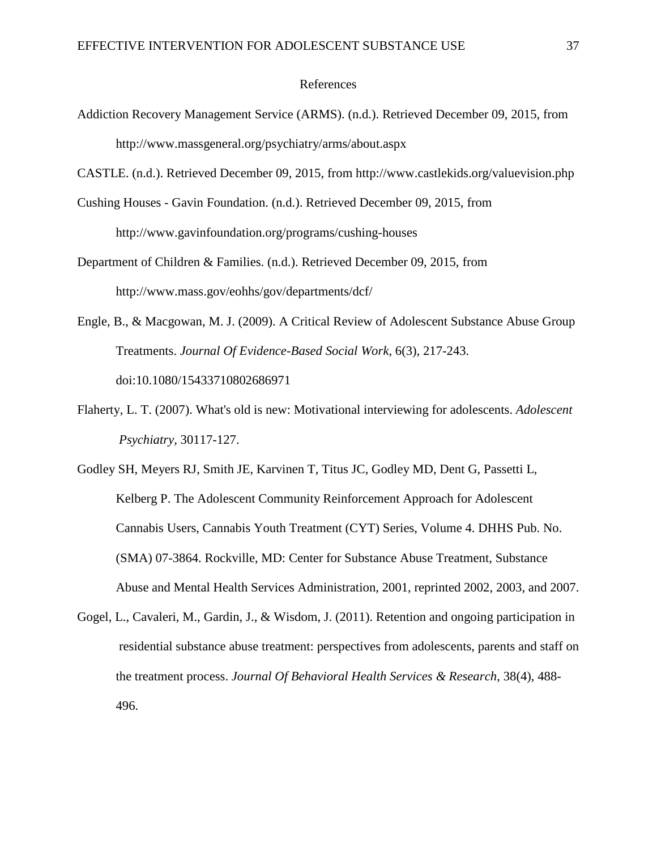#### References

Addiction Recovery Management Service (ARMS). (n.d.). Retrieved December 09, 2015, from http://www.massgeneral.org/psychiatry/arms/about.aspx

CASTLE. (n.d.). Retrieved December 09, 2015, from http://www.castlekids.org/valuevision.php

- Cushing Houses Gavin Foundation. (n.d.). Retrieved December 09, 2015, from http://www.gavinfoundation.org/programs/cushing-houses
- Department of Children & Families. (n.d.). Retrieved December 09, 2015, from http://www.mass.gov/eohhs/gov/departments/dcf/
- Engle, B., & Macgowan, M. J. (2009). A Critical Review of Adolescent Substance Abuse Group Treatments. *Journal Of Evidence-Based Social Work*, 6(3), 217-243. doi:10.1080/15433710802686971
- Flaherty, L. T. (2007). What's old is new: Motivational interviewing for adolescents. *Adolescent Psychiatry*, 30117-127.

Godley SH, Meyers RJ, Smith JE, Karvinen T, Titus JC, Godley MD, Dent G, Passetti L, Kelberg P. The Adolescent Community Reinforcement Approach for Adolescent Cannabis Users, Cannabis Youth Treatment (CYT) Series, Volume 4. DHHS Pub. No. (SMA) 07-3864. Rockville, MD: Center for Substance Abuse Treatment, Substance Abuse and Mental Health Services Administration, 2001, reprinted 2002, 2003, and 2007.

Gogel, L., Cavaleri, M., Gardin, J., & Wisdom, J. (2011). Retention and ongoing participation in residential substance abuse treatment: perspectives from adolescents, parents and staff on the treatment process. *Journal Of Behavioral Health Services & Research*, 38(4), 488- 496.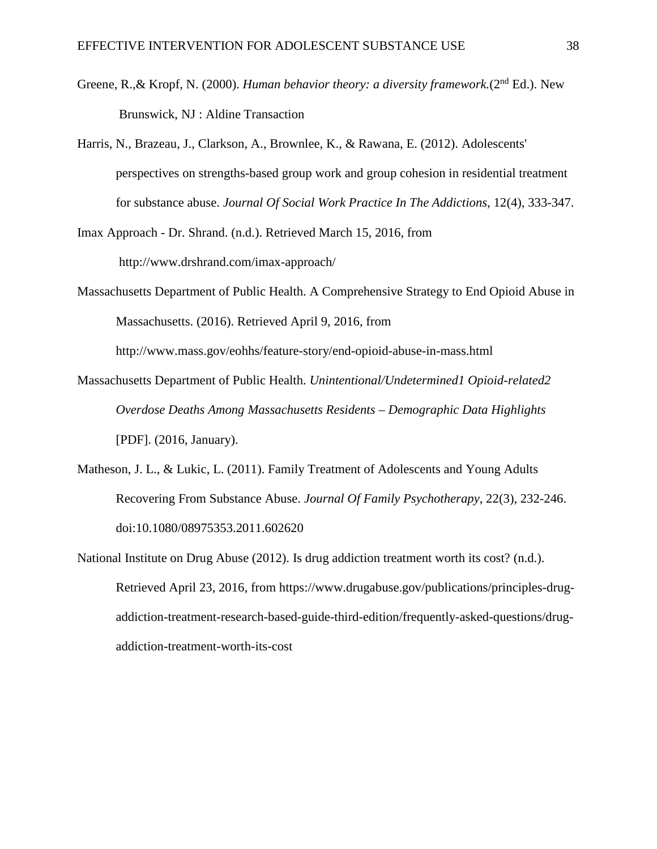- Greene, R.,& Kropf, N. (2000). *Human behavior theory: a diversity framework.*(2nd Ed.). New Brunswick, NJ : Aldine Transaction
- Harris, N., Brazeau, J., Clarkson, A., Brownlee, K., & Rawana, E. (2012). Adolescents' perspectives on strengths-based group work and group cohesion in residential treatment for substance abuse. *Journal Of Social Work Practice In The Addictions*, 12(4), 333-347.

Imax Approach - Dr. Shrand. (n.d.). Retrieved March 15, 2016, from http://www.drshrand.com/imax-approach/

Massachusetts Department of Public Health. A Comprehensive Strategy to End Opioid Abuse in Massachusetts. (2016). Retrieved April 9, 2016, from

http://www.mass.gov/eohhs/feature-story/end-opioid-abuse-in-mass.html

- Massachusetts Department of Public Health. *Unintentional/Undetermined1 Opioid-related2 Overdose Deaths Among Massachusetts Residents – Demographic Data Highlights* [PDF]. (2016, January).
- Matheson, J. L., & Lukic, L. (2011). Family Treatment of Adolescents and Young Adults Recovering From Substance Abuse. *Journal Of Family Psychotherapy*, 22(3), 232-246. doi:10.1080/08975353.2011.602620
- National Institute on Drug Abuse (2012). Is drug addiction treatment worth its cost? (n.d.). Retrieved April 23, 2016, from https://www.drugabuse.gov/publications/principles-drugaddiction-treatment-research-based-guide-third-edition/frequently-asked-questions/drugaddiction-treatment-worth-its-cost